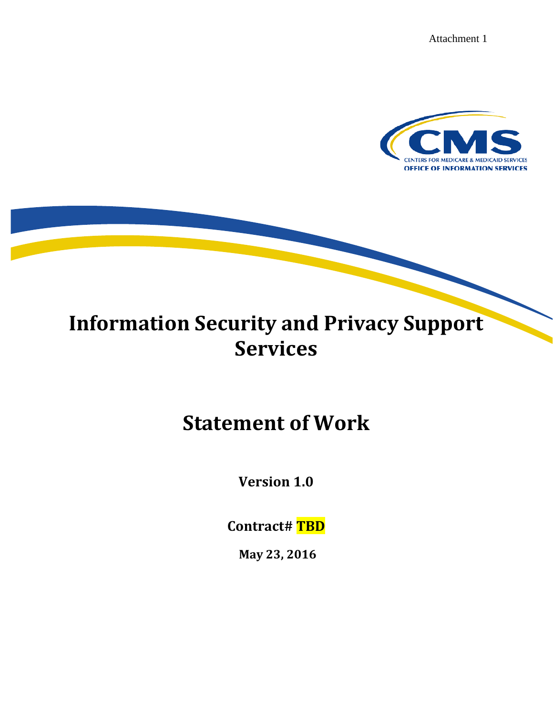Attachment 1



# **Information Security and Privacy Support Services**

# **Statement of Work**

**Version 1.0**

**Contract# TBD**

**May 23, 2016**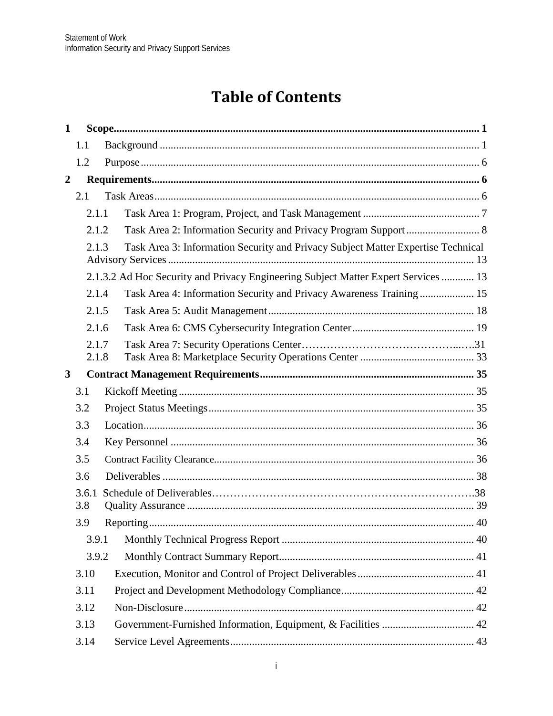# **Table of Contents**

| $\mathbf 1$    |                |                                                                                    |  |
|----------------|----------------|------------------------------------------------------------------------------------|--|
|                | 1.1            |                                                                                    |  |
|                | 1.2            |                                                                                    |  |
| $\overline{2}$ |                |                                                                                    |  |
|                | 2.1            |                                                                                    |  |
|                | 2.1.1          |                                                                                    |  |
|                | 2.1.2          |                                                                                    |  |
|                | 2.1.3          | Task Area 3: Information Security and Privacy Subject Matter Expertise Technical   |  |
|                |                | 2.1.3.2 Ad Hoc Security and Privacy Engineering Subject Matter Expert Services  13 |  |
|                | 2.1.4          | Task Area 4: Information Security and Privacy Awareness Training  15               |  |
|                | 2.1.5          |                                                                                    |  |
|                | 2.1.6          |                                                                                    |  |
|                | 2.1.7<br>2.1.8 |                                                                                    |  |
| $\mathbf{3}$   |                |                                                                                    |  |
|                | 3.1            |                                                                                    |  |
|                | 3.2            |                                                                                    |  |
|                | 3.3            |                                                                                    |  |
|                | 3.4            |                                                                                    |  |
|                | 3.5            |                                                                                    |  |
|                | 3.6            |                                                                                    |  |
|                | 3.6.1          |                                                                                    |  |
|                | 3.8            |                                                                                    |  |
|                | 3.9            |                                                                                    |  |
|                | 3.9.1          |                                                                                    |  |
|                | 3.9.2          |                                                                                    |  |
|                | 3.10           |                                                                                    |  |
|                | 3.11           |                                                                                    |  |
|                | 3.12           |                                                                                    |  |
|                | 3.13           | Government-Furnished Information, Equipment, & Facilities  42                      |  |
|                | 3.14           |                                                                                    |  |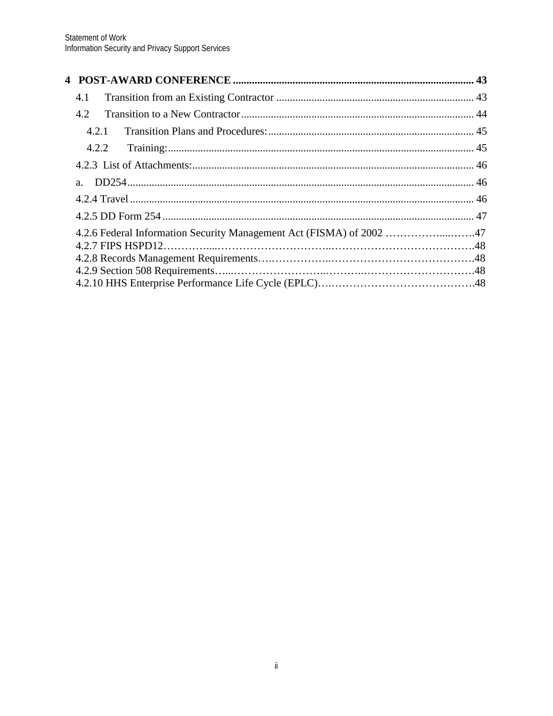| 4.1                                                                  |  |
|----------------------------------------------------------------------|--|
| 4.2                                                                  |  |
| 4.2.1                                                                |  |
|                                                                      |  |
|                                                                      |  |
|                                                                      |  |
|                                                                      |  |
|                                                                      |  |
| 4.2.6 Federal Information Security Management Act (FISMA) of 2002 47 |  |
|                                                                      |  |
|                                                                      |  |
|                                                                      |  |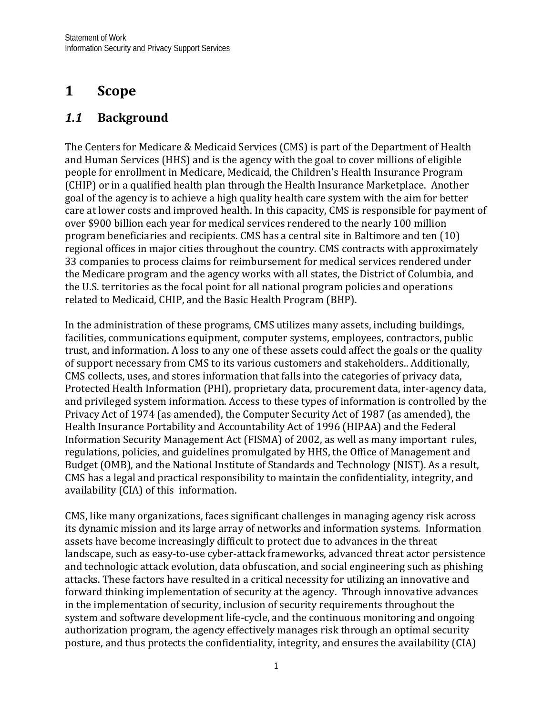# <span id="page-3-0"></span>**1 Scope**

# <span id="page-3-1"></span>*1.1* **Background**

The Centers for Medicare & Medicaid Services (CMS) is part of the Department of Health and Human Services (HHS) and is the agency with the goal to cover millions of eligible people for enrollment in Medicare, Medicaid, the Children's Health Insurance Program (CHIP) or in a qualified health plan through the Health Insurance Marketplace. Another goal of the agency is to achieve a high quality health care system with the aim for better care at lower costs and improved health. In this capacity, CMS is responsible for payment of over \$900 billion each year for medical services rendered to the nearly 100 million program beneficiaries and recipients. CMS has a central site in Baltimore and ten (10) regional offices in major cities throughout the country. CMS contracts with approximately 33 companies to process claims for reimbursement for medical services rendered under the Medicare program and the agency works with all states, the District of Columbia, and the U.S. territories as the focal point for all national program policies and operations related to Medicaid, CHIP, and the Basic Health Program (BHP).

In the administration of these programs, CMS utilizes many assets, including buildings, facilities, communications equipment, computer systems, employees, contractors, public trust, and information. A loss to any one of these assets could affect the goals or the quality of support necessary from CMS to its various customers and stakeholders.. Additionally, CMS collects, uses, and stores information that falls into the categories of privacy data, Protected Health Information (PHI), proprietary data, procurement data, inter-agency data, and privileged system information. Access to these types of information is controlled by the Privacy Act of 1974 (as amended), the Computer Security Act of 1987 (as amended), the Health Insurance Portability and Accountability Act of 1996 (HIPAA) and the Federal Information Security Management Act (FISMA) of 2002, as well as many important rules, regulations, policies, and guidelines promulgated by HHS, the Office of Management and Budget (OMB), and the National Institute of Standards and Technology (NIST). As a result, CMS has a legal and practical responsibility to maintain the confidentiality, integrity, and availability (CIA) of this information.

CMS, like many organizations, faces significant challenges in managing agency risk across its dynamic mission and its large array of networks and information systems. Information assets have become increasingly difficult to protect due to advances in the threat landscape, such as easy-to-use cyber-attack frameworks, advanced threat actor persistence and technologic attack evolution, data obfuscation, and social engineering such as phishing attacks. These factors have resulted in a critical necessity for utilizing an innovative and forward thinking implementation of security at the agency. Through innovative advances in the implementation of security, inclusion of security requirements throughout the system and software development life-cycle, and the continuous monitoring and ongoing authorization program, the agency effectively manages risk through an optimal security posture, and thus protects the confidentiality, integrity, and ensures the availability (CIA)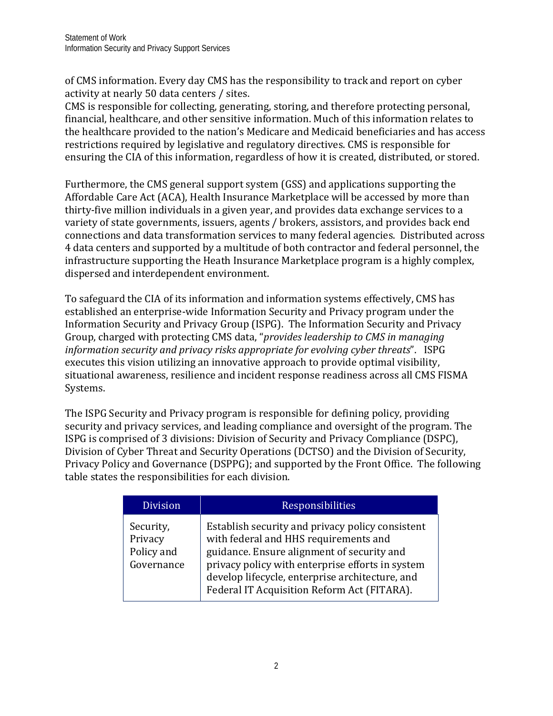of CMS information. Every day CMS has the responsibility to track and report on cyber activity at nearly 50 data centers / sites.

CMS is responsible for collecting, generating, storing, and therefore protecting personal, financial, healthcare, and other sensitive information. Much of this information relates to the healthcare provided to the nation's Medicare and Medicaid beneficiaries and has access restrictions required by legislative and regulatory directives. CMS is responsible for ensuring the CIA of this information, regardless of how it is created, distributed, or stored.

Furthermore, the CMS general support system (GSS) and applications supporting the Affordable Care Act (ACA), Health Insurance Marketplace will be accessed by more than thirty-five million individuals in a given year, and provides data exchange services to a variety of state governments, issuers, agents / brokers, assistors, and provides back end connections and data transformation services to many federal agencies. Distributed across 4 data centers and supported by a multitude of both contractor and federal personnel, the infrastructure supporting the Heath Insurance Marketplace program is a highly complex, dispersed and interdependent environment.

To safeguard the CIA of its information and information systems effectively, CMS has established an enterprise-wide Information Security and Privacy program under the Information Security and Privacy Group (ISPG). The Information Security and Privacy Group, charged with protecting CMS data, "*provides leadership to CMS in managing information security and privacy risks appropriate for evolving cyber threats*". ISPG executes this vision utilizing an innovative approach to provide optimal visibility, situational awareness, resilience and incident response readiness across all CMS FISMA Systems.

The ISPG Security and Privacy program is responsible for defining policy, providing security and privacy services, and leading compliance and oversight of the program. The ISPG is comprised of 3 divisions: Division of Security and Privacy Compliance (DSPC), Division of Cyber Threat and Security Operations (DCTSO) and the Division of Security, Privacy Policy and Governance (DSPPG); and supported by the Front Office. The following table states the responsibilities for each division.

| <b>Division</b>                                  | <b>Responsibilities</b>                                                                                                                                                                                                                                                                       |
|--------------------------------------------------|-----------------------------------------------------------------------------------------------------------------------------------------------------------------------------------------------------------------------------------------------------------------------------------------------|
| Security,<br>Privacy<br>Policy and<br>Governance | Establish security and privacy policy consistent<br>with federal and HHS requirements and<br>guidance. Ensure alignment of security and<br>privacy policy with enterprise efforts in system<br>develop lifecycle, enterprise architecture, and<br>Federal IT Acquisition Reform Act (FITARA). |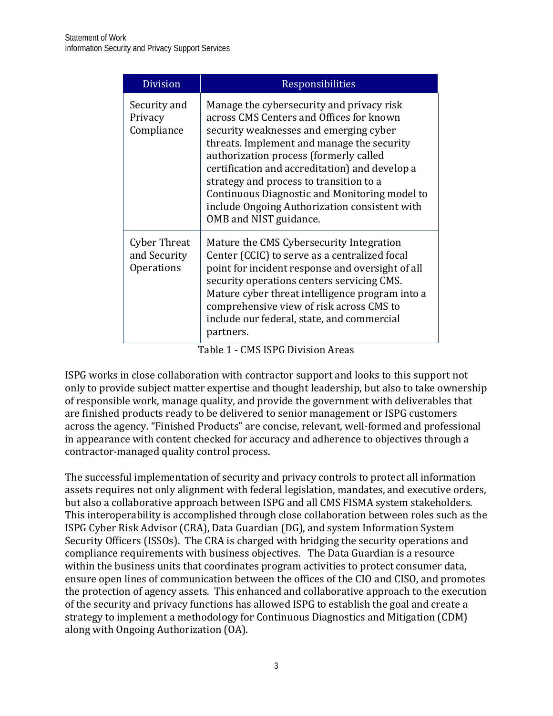| <b>Division</b>                                   | Responsibilities                                                                                                                                                                                                                                                                                                                                                                                                                                 |
|---------------------------------------------------|--------------------------------------------------------------------------------------------------------------------------------------------------------------------------------------------------------------------------------------------------------------------------------------------------------------------------------------------------------------------------------------------------------------------------------------------------|
| Security and<br>Privacy<br>Compliance             | Manage the cybersecurity and privacy risk<br>across CMS Centers and Offices for known<br>security weaknesses and emerging cyber<br>threats. Implement and manage the security<br>authorization process (formerly called<br>certification and accreditation) and develop a<br>strategy and process to transition to a<br>Continuous Diagnostic and Monitoring model to<br>include Ongoing Authorization consistent with<br>OMB and NIST guidance. |
| <b>Cyber Threat</b><br>and Security<br>Operations | Mature the CMS Cybersecurity Integration<br>Center (CCIC) to serve as a centralized focal<br>point for incident response and oversight of all<br>security operations centers servicing CMS.<br>Mature cyber threat intelligence program into a<br>comprehensive view of risk across CMS to<br>include our federal, state, and commercial<br>partners.                                                                                            |

Table 1 - CMS ISPG Division Areas

ISPG works in close collaboration with contractor support and looks to this support not only to provide subject matter expertise and thought leadership, but also to take ownership of responsible work, manage quality, and provide the government with deliverables that are finished products ready to be delivered to senior management or ISPG customers across the agency. "Finished Products" are concise, relevant, well-formed and professional in appearance with content checked for accuracy and adherence to objectives through a contractor-managed quality control process.

The successful implementation of security and privacy controls to protect all information assets requires not only alignment with federal legislation, mandates, and executive orders, but also a collaborative approach between ISPG and all CMS FISMA system stakeholders. This interoperability is accomplished through close collaboration between roles such as the ISPG Cyber Risk Advisor (CRA), Data Guardian (DG), and system Information System Security Officers (ISSOs). The CRA is charged with bridging the security operations and compliance requirements with business objectives. The Data Guardian is a resource within the business units that coordinates program activities to protect consumer data, ensure open lines of communication between the offices of the CIO and CISO, and promotes the protection of agency assets. This enhanced and collaborative approach to the execution of the security and privacy functions has allowed ISPG to establish the goal and create a strategy to implement a methodology for Continuous Diagnostics and Mitigation (CDM) along with Ongoing Authorization (OA).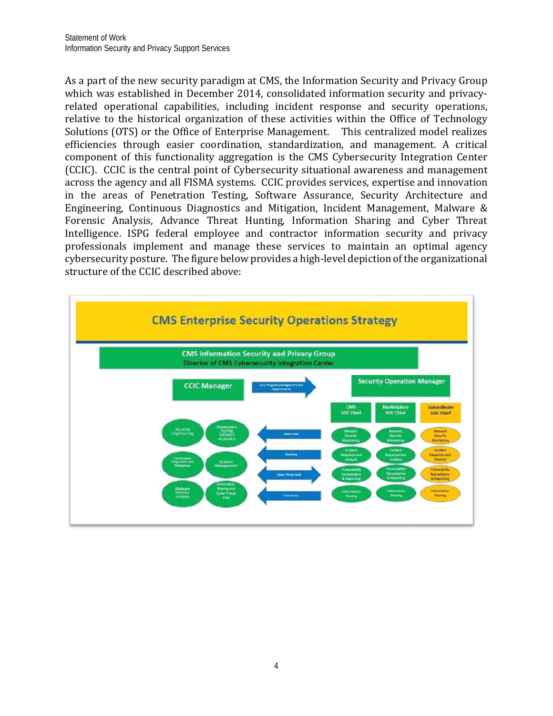As a part of the new security paradigm at CMS, the Information Security and Privacy Group which was established in December 2014, consolidated information security and privacyrelated operational capabilities, including incident response and security operations, relative to the historical organization of these activities within the Office of Technology Solutions (OTS) or the Office of Enterprise Management. This centralized model realizes efficiencies through easier coordination, standardization, and management. A critical component of this functionality aggregation is the CMS Cybersecurity Integration Center (CCIC). CCIC is the central point of Cybersecurity situational awareness and management across the agency and all FISMA systems. CCIC provides services, expertise and innovation in the areas of Penetration Testing, Software Assurance, Security Architecture and Engineering, Continuous Diagnostics and Mitigation, Incident Management, Malware & Forensic Analysis, Advance Threat Hunting, Information Sharing and Cyber Threat Intelligence. ISPG federal employee and contractor information security and privacy professionals implement and manage these services to maintain an optimal agency cybersecurity posture. The figure below provides a high-level depiction of the organizational structure of the CCIC described above:

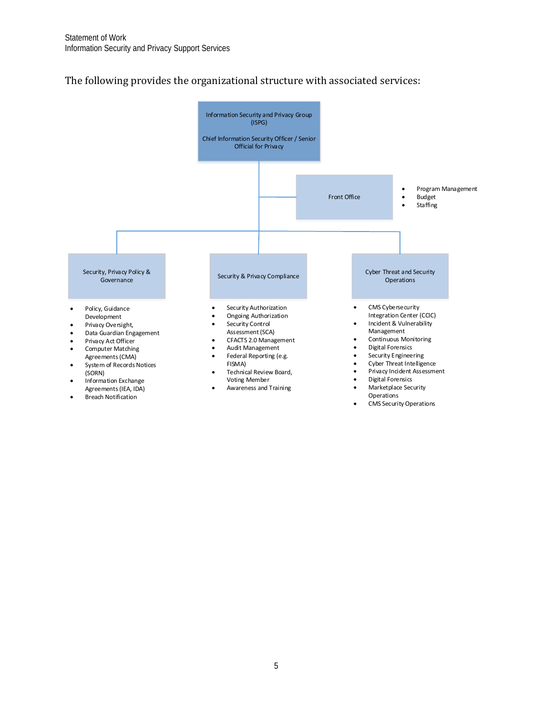#### The following provides the organizational structure with associated services:

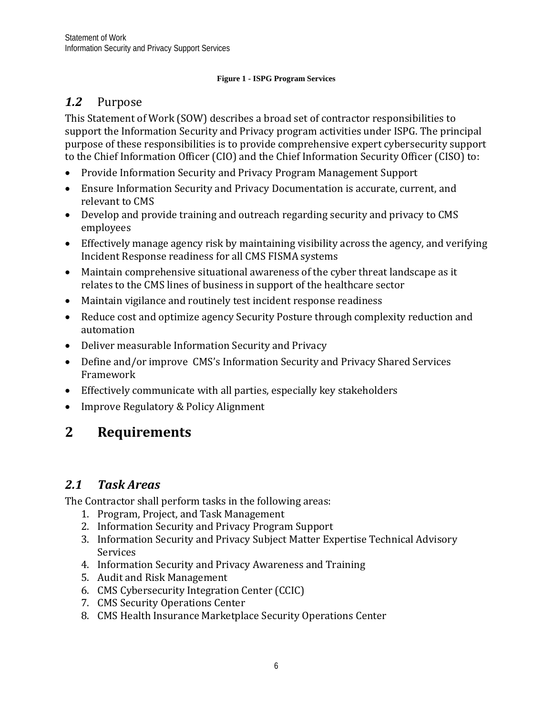#### **Figure 1 - ISPG Program Services**

## <span id="page-8-0"></span>*1.2* Purpose

This Statement of Work (SOW) describes a broad set of contractor responsibilities to support the Information Security and Privacy program activities under ISPG. The principal purpose of these responsibilities is to provide comprehensive expert cybersecurity support to the Chief Information Officer (CIO) and the Chief Information Security Officer (CISO) to:

- Provide Information Security and Privacy Program Management Support
- Ensure Information Security and Privacy Documentation is accurate, current, and relevant to CMS
- Develop and provide training and outreach regarding security and privacy to CMS employees
- Effectively manage agency risk by maintaining visibility across the agency, and verifying Incident Response readiness for all CMS FISMA systems
- Maintain comprehensive situational awareness of the cyber threat landscape as it relates to the CMS lines of business in support of the healthcare sector
- Maintain vigilance and routinely test incident response readiness
- Reduce cost and optimize agency Security Posture through complexity reduction and automation
- Deliver measurable Information Security and Privacy
- Define and/or improve CMS's Information Security and Privacy Shared Services Framework
- Effectively communicate with all parties, especially key stakeholders
- <span id="page-8-1"></span>• Improve Regulatory & Policy Alignment

# **2 Requirements**

# <span id="page-8-2"></span>*2.1 Task Areas*

The Contractor shall perform tasks in the following areas:

- 1. Program, Project, and Task Management
- 2. Information Security and Privacy Program Support
- 3. Information Security and Privacy Subject Matter Expertise Technical Advisory Services
- 4. Information Security and Privacy Awareness and Training
- 5. Audit and Risk Management
- 6. CMS Cybersecurity Integration Center (CCIC)
- 7. CMS Security Operations Center
- 8. CMS Health Insurance Marketplace Security Operations Center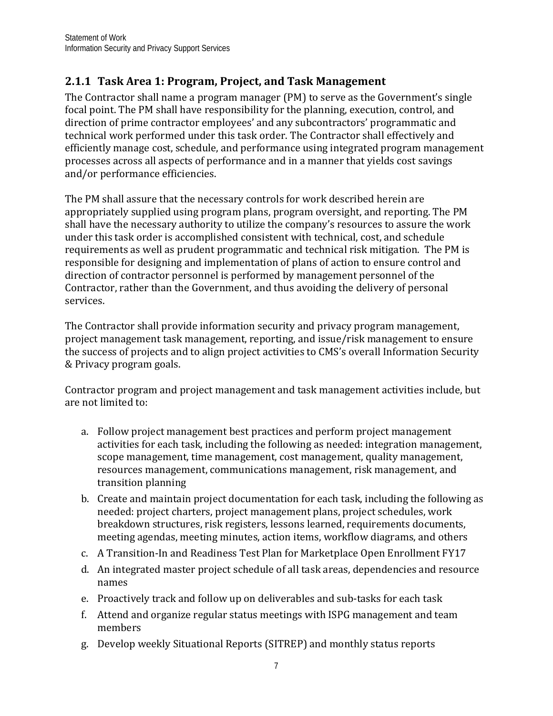# <span id="page-9-0"></span>**2.1.1 Task Area 1: Program, Project, and Task Management**

The Contractor shall name a program manager (PM) to serve as the Government's single focal point. The PM shall have responsibility for the planning, execution, control, and direction of prime contractor employees' and any subcontractors' programmatic and technical work performed under this task order. The Contractor shall effectively and efficiently manage cost, schedule, and performance using integrated program management processes across all aspects of performance and in a manner that yields cost savings and/or performance efficiencies.

The PM shall assure that the necessary controls for work described herein are appropriately supplied using program plans, program oversight, and reporting. The PM shall have the necessary authority to utilize the company's resources to assure the work under this task order is accomplished consistent with technical, cost, and schedule requirements as well as prudent programmatic and technical risk mitigation. The PM is responsible for designing and implementation of plans of action to ensure control and direction of contractor personnel is performed by management personnel of the Contractor, rather than the Government, and thus avoiding the delivery of personal services.

The Contractor shall provide information security and privacy program management, project management task management, reporting, and issue/risk management to ensure the success of projects and to align project activities to CMS's overall Information Security & Privacy program goals.

Contractor program and project management and task management activities include, but are not limited to:

- a. Follow project management best practices and perform project management activities for each task, including the following as needed: integration management, scope management, time management, cost management, quality management, resources management, communications management, risk management, and transition planning
- b. Create and maintain project documentation for each task, including the following as needed: project charters, project management plans, project schedules, work breakdown structures, risk registers, lessons learned, requirements documents, meeting agendas, meeting minutes, action items, workflow diagrams, and others
- c. A Transition-In and Readiness Test Plan for Marketplace Open Enrollment FY17
- d. An integrated master project schedule of all task areas, dependencies and resource names
- e. Proactively track and follow up on deliverables and sub-tasks for each task
- f. Attend and organize regular status meetings with ISPG management and team members
- g. Develop weekly Situational Reports (SITREP) and monthly status reports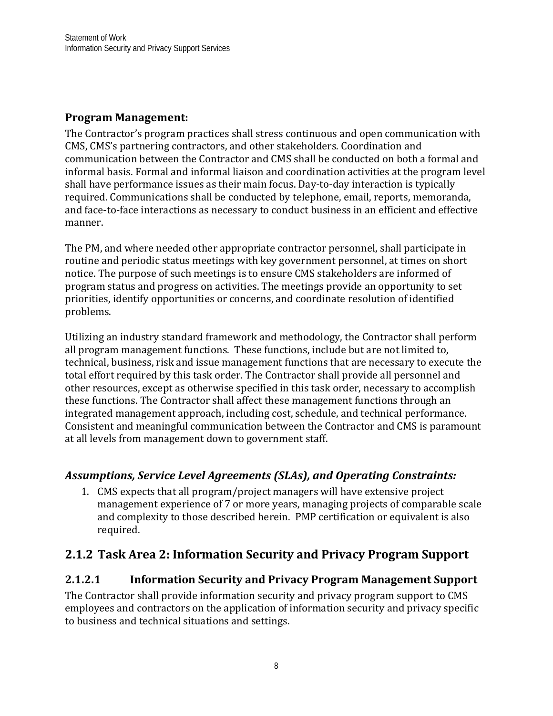### **Program Management:**

The Contractor's program practices shall stress continuous and open communication with CMS, CMS's partnering contractors, and other stakeholders. Coordination and communication between the Contractor and CMS shall be conducted on both a formal and informal basis. Formal and informal liaison and coordination activities at the program level shall have performance issues as their main focus. Day-to-day interaction is typically required. Communications shall be conducted by telephone, email, reports, memoranda, and face-to-face interactions as necessary to conduct business in an efficient and effective manner.

The PM, and where needed other appropriate contractor personnel, shall participate in routine and periodic status meetings with key government personnel, at times on short notice. The purpose of such meetings is to ensure CMS stakeholders are informed of program status and progress on activities. The meetings provide an opportunity to set priorities, identify opportunities or concerns, and coordinate resolution of identified problems.

Utilizing an industry standard framework and methodology, the Contractor shall perform all program management functions. These functions, include but are not limited to, technical, business, risk and issue management functions that are necessary to execute the total effort required by this task order. The Contractor shall provide all personnel and other resources, except as otherwise specified in this task order, necessary to accomplish these functions. The Contractor shall affect these management functions through an integrated management approach, including cost, schedule, and technical performance. Consistent and meaningful communication between the Contractor and CMS is paramount at all levels from management down to government staff.

## *Assumptions, Service Level Agreements (SLAs), and Operating Constraints:*

1. CMS expects that all program/project managers will have extensive project management experience of 7 or more years, managing projects of comparable scale and complexity to those described herein. PMP certification or equivalent is also required.

# <span id="page-10-0"></span>**2.1.2 Task Area 2: Information Security and Privacy Program Support**

## **2.1.2.1 Information Security and Privacy Program Management Support**

The Contractor shall provide information security and privacy program support to CMS employees and contractors on the application of information security and privacy specific to business and technical situations and settings.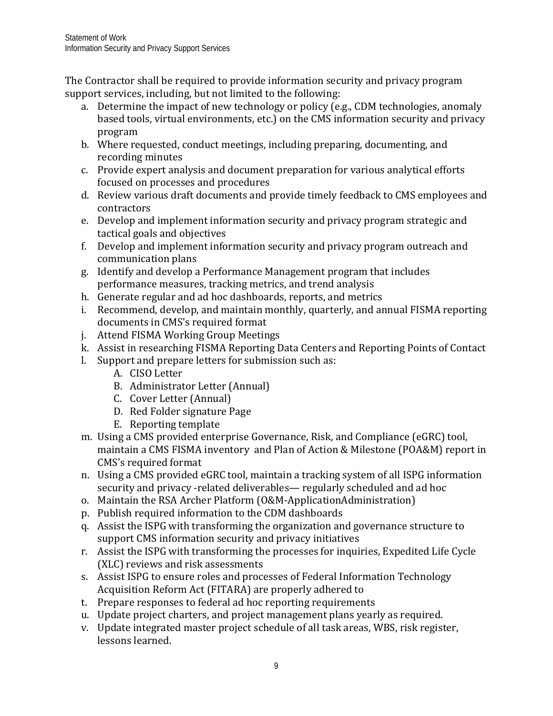The Contractor shall be required to provide information security and privacy program support services, including, but not limited to the following:

- a. Determine the impact of new technology or policy (e.g., CDM technologies, anomaly based tools, virtual environments, etc.) on the CMS information security and privacy program
- b. Where requested, conduct meetings, including preparing, documenting, and recording minutes
- c. Provide expert analysis and document preparation for various analytical efforts focused on processes and procedures
- d. Review various draft documents and provide timely feedback to CMS employees and contractors
- e. Develop and implement information security and privacy program strategic and tactical goals and objectives
- f. Develop and implement information security and privacy program outreach and communication plans
- g. Identify and develop a Performance Management program that includes performance measures, tracking metrics, and trend analysis
- h. Generate regular and ad hoc dashboards, reports, and metrics
- i. Recommend, develop, and maintain monthly, quarterly, and annual FISMA reporting documents in CMS's required format
- j. Attend FISMA Working Group Meetings
- k. Assist in researching FISMA Reporting Data Centers and Reporting Points of Contact
- l. Support and prepare letters for submission such as:
	- A. CISO Letter
	- B. Administrator Letter (Annual)
	- C. Cover Letter (Annual)
	- D. Red Folder signature Page
	- E. Reporting template
- m. Using a CMS provided enterprise Governance, Risk, and Compliance (eGRC) tool, maintain a CMS FISMA inventory and Plan of Action & Milestone (POA&M) report in CMS's required format
- n. Using a CMS provided eGRC tool, maintain a tracking system of all ISPG information security and privacy -related deliverables— regularly scheduled and ad hoc
- o. Maintain the RSA Archer Platform (O&M-ApplicationAdministration)
- p. Publish required information to the CDM dashboards
- q. Assist the ISPG with transforming the organization and governance structure to support CMS information security and privacy initiatives
- r. Assist the ISPG with transforming the processes for inquiries, Expedited Life Cycle (XLC) reviews and risk assessments
- s. Assist ISPG to ensure roles and processes of Federal Information Technology Acquisition Reform Act (FITARA) are properly adhered to
- t. Prepare responses to federal ad hoc reporting requirements
- u. Update project charters, and project management plans yearly as required.
- v. Update integrated master project schedule of all task areas, WBS, risk register, lessons learned.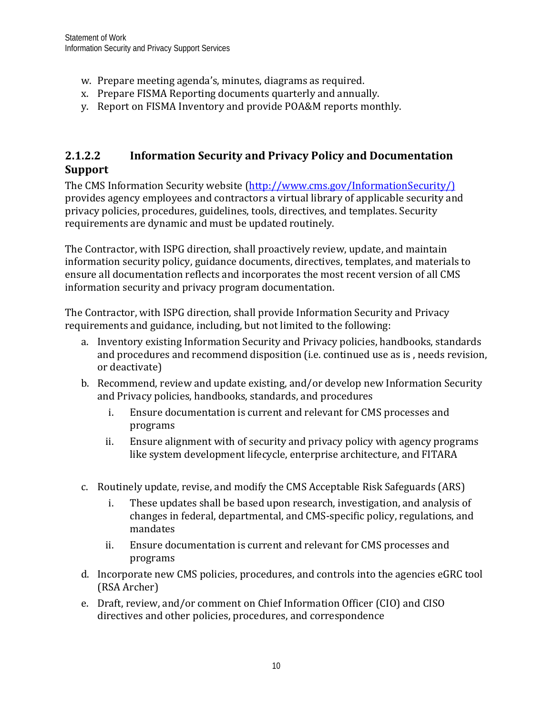- w. Prepare meeting agenda's, minutes, diagrams as required.
- x. Prepare FISMA Reporting documents quarterly and annually.
- y. Report on FISMA Inventory and provide POA&M reports monthly.

## **2.1.2.2 Information Security and Privacy Policy and Documentation Support**

The CMS Information Security website [\(http://www.cms.gov/InformationSecurity/\)](http://www.cms.gov/InformationSecurity/) provides agency employees and contractors a virtual library of applicable security and privacy policies, procedures, guidelines, tools, directives, and templates. Security requirements are dynamic and must be updated routinely.

The Contractor, with ISPG direction, shall proactively review, update, and maintain information security policy, guidance documents, directives, templates, and materials to ensure all documentation reflects and incorporates the most recent version of all CMS information security and privacy program documentation.

The Contractor, with ISPG direction, shall provide Information Security and Privacy requirements and guidance, including, but not limited to the following:

- a. Inventory existing Information Security and Privacy policies, handbooks, standards and procedures and recommend disposition (i.e. continued use as is , needs revision, or deactivate)
- b. Recommend, review and update existing, and/or develop new Information Security and Privacy policies, handbooks, standards, and procedures
	- i. Ensure documentation is current and relevant for CMS processes and programs
	- ii. Ensure alignment with of security and privacy policy with agency programs like system development lifecycle, enterprise architecture, and FITARA
- c. Routinely update, revise, and modify the CMS Acceptable Risk Safeguards (ARS)
	- i. These updates shall be based upon research, investigation, and analysis of changes in federal, departmental, and CMS-specific policy, regulations, and mandates
	- ii. Ensure documentation is current and relevant for CMS processes and programs
- d. Incorporate new CMS policies, procedures, and controls into the agencies eGRC tool (RSA Archer)
- e. Draft, review, and/or comment on Chief Information Officer (CIO) and CISO directives and other policies, procedures, and correspondence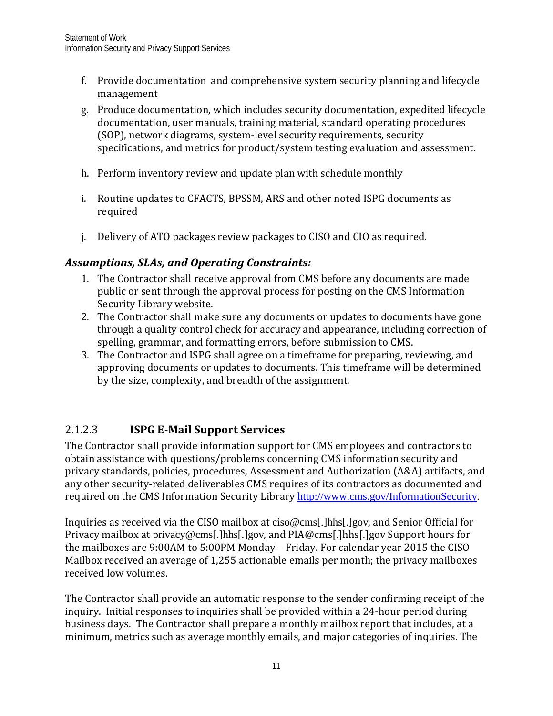- f. Provide documentation and comprehensive system security planning and lifecycle management
- g. Produce documentation, which includes security documentation, expedited lifecycle documentation, user manuals, training material, standard operating procedures (SOP), network diagrams, system-level security requirements, security specifications, and metrics for product/system testing evaluation and assessment.
- h. Perform inventory review and update plan with schedule monthly
- i. Routine updates to CFACTS, BPSSM, ARS and other noted ISPG documents as required
- j. Delivery of ATO packages review packages to CISO and CIO as required.

## *Assumptions, SLAs, and Operating Constraints:*

- 1. The Contractor shall receive approval from CMS before any documents are made public or sent through the approval process for posting on the CMS Information Security Library website.
- 2. The Contractor shall make sure any documents or updates to documents have gone through a quality control check for accuracy and appearance, including correction of spelling, grammar, and formatting errors, before submission to CMS.
- 3. The Contractor and ISPG shall agree on a timeframe for preparing, reviewing, and approving documents or updates to documents. This timeframe will be determined by the size, complexity, and breadth of the assignment.

## 2.1.2.3 **ISPG E-Mail Support Services**

The Contractor shall provide information support for CMS employees and contractors to obtain assistance with questions/problems concerning CMS information security and privacy standards, policies, procedures, Assessment and Authorization (A&A) artifacts, and any other security-related deliverables CMS requires of its contractors as documented and required on the CMS Information Security Library [http://www.cms.gov/InformationSecurity.](http://www.cms.gov/InformationSecurity)

Inquiries as received via the CISO mailbox at ciso@cms[.]hhs[.]gov, and Senior Official for Privacy mailbox at privacy@cms[.]hhs[.]gov, and PIA@cms[.]hhs[.]gov Support hours for the mailboxes are 9:00AM to 5:00PM Monday – Friday. For calendar year 2015 the CISO Mailbox received an average of 1,255 actionable emails per month; the privacy mailboxes received low volumes.

The Contractor shall provide an automatic response to the sender confirming receipt of the inquiry. Initial responses to inquiries shall be provided within a 24-hour period during business days. The Contractor shall prepare a monthly mailbox report that includes, at a minimum, metrics such as average monthly emails, and major categories of inquiries. The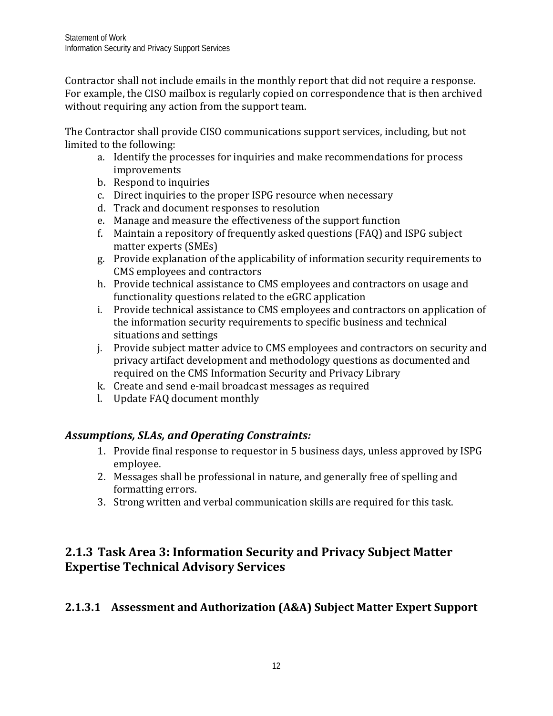Contractor shall not include emails in the monthly report that did not require a response. For example, the CISO mailbox is regularly copied on correspondence that is then archived without requiring any action from the support team.

The Contractor shall provide CISO communications support services, including, but not limited to the following:

- a. Identify the processes for inquiries and make recommendations for process improvements
- b. Respond to inquiries
- c. Direct inquiries to the proper ISPG resource when necessary
- d. Track and document responses to resolution
- e. Manage and measure the effectiveness of the support function
- f. Maintain a repository of frequently asked questions (FAQ) and ISPG subject matter experts (SMEs)
- g. Provide explanation of the applicability of information security requirements to CMS employees and contractors
- h. Provide technical assistance to CMS employees and contractors on usage and functionality questions related to the eGRC application
- i. Provide technical assistance to CMS employees and contractors on application of the information security requirements to specific business and technical situations and settings
- j. Provide subject matter advice to CMS employees and contractors on security and privacy artifact development and methodology questions as documented and required on the CMS Information Security and Privacy Library
- k. Create and send e-mail broadcast messages as required
- l. Update FAQ document monthly

## *Assumptions, SLAs, and Operating Constraints:*

- 1. Provide final response to requestor in 5 business days, unless approved by ISPG employee.
- 2. Messages shall be professional in nature, and generally free of spelling and formatting errors.
- 3. Strong written and verbal communication skills are required for this task.

# <span id="page-14-0"></span>**2.1.3 Task Area 3: Information Security and Privacy Subject Matter Expertise Technical Advisory Services**

## **2.1.3.1 Assessment and Authorization (A&A) Subject Matter Expert Support**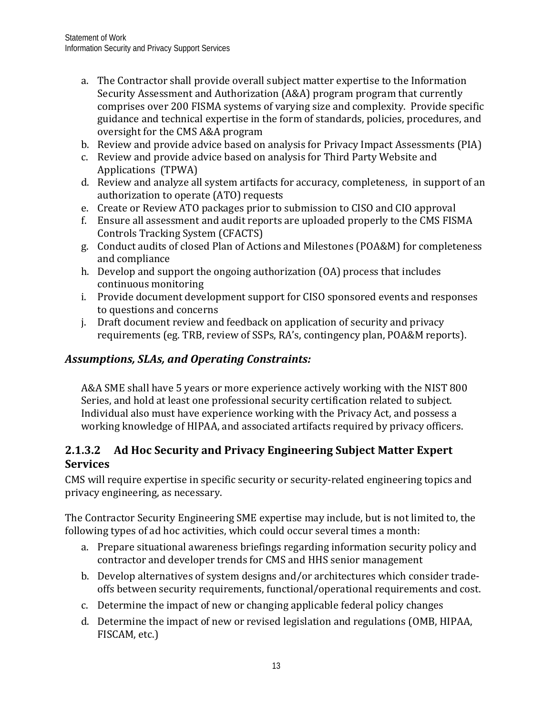- a. The Contractor shall provide overall subject matter expertise to the Information Security Assessment and Authorization (A&A) program program that currently comprises over 200 FISMA systems of varying size and complexity. Provide specific guidance and technical expertise in the form of standards, policies, procedures, and oversight for the CMS A&A program
- b. Review and provide advice based on analysis for Privacy Impact Assessments (PIA)
- c. Review and provide advice based on analysis for Third Party Website and Applications (TPWA)
- d. Review and analyze all system artifacts for accuracy, completeness, in support of an authorization to operate (ATO) requests
- e. Create or Review ATO packages prior to submission to CISO and CIO approval
- f. Ensure all assessment and audit reports are uploaded properly to the CMS FISMA Controls Tracking System (CFACTS)
- g. Conduct audits of closed Plan of Actions and Milestones (POA&M) for completeness and compliance
- h. Develop and support the ongoing authorization (OA) process that includes continuous monitoring
- i. Provide document development support for CISO sponsored events and responses to questions and concerns
- j. Draft document review and feedback on application of security and privacy requirements (eg. TRB, review of SSPs, RA's, contingency plan, POA&M reports).

## *Assumptions, SLAs, and Operating Constraints:*

A&A SME shall have 5 years or more experience actively working with the NIST 800 Series, and hold at least one professional security certification related to subject. Individual also must have experience working with the Privacy Act, and possess a working knowledge of HIPAA, and associated artifacts required by privacy officers.

## <span id="page-15-0"></span>**2.1.3.2 Ad Hoc Security and Privacy Engineering Subject Matter Expert Services**

CMS will require expertise in specific security or security-related engineering topics and privacy engineering, as necessary.

The Contractor Security Engineering SME expertise may include, but is not limited to, the following types of ad hoc activities, which could occur several times a month:

- a. Prepare situational awareness briefings regarding information security policy and contractor and developer trends for CMS and HHS senior management
- b. Develop alternatives of system designs and/or architectures which consider tradeoffs between security requirements, functional/operational requirements and cost.
- c. Determine the impact of new or changing applicable federal policy changes
- d. Determine the impact of new or revised legislation and regulations (OMB, HIPAA, FISCAM, etc.)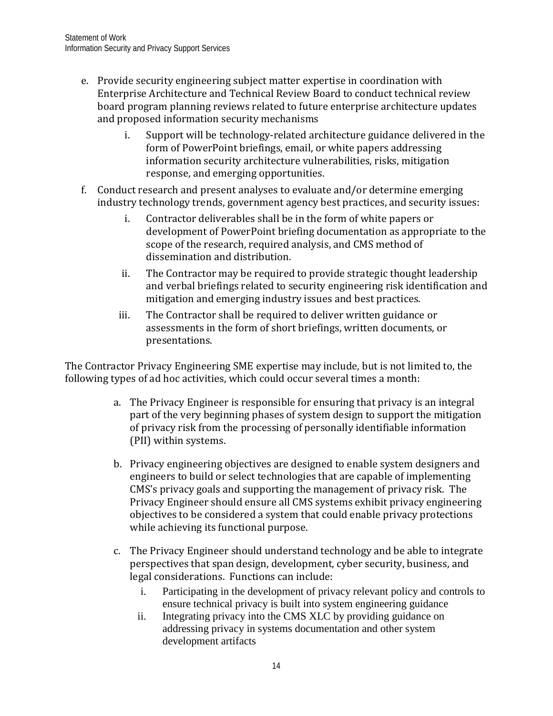- e. Provide security engineering subject matter expertise in coordination with Enterprise Architecture and Technical Review Board to conduct technical review board program planning reviews related to future enterprise architecture updates and proposed information security mechanisms
	- i. Support will be technology-related architecture guidance delivered in the form of PowerPoint briefings, email, or white papers addressing information security architecture vulnerabilities, risks, mitigation response, and emerging opportunities.
- f. Conduct research and present analyses to evaluate and/or determine emerging industry technology trends, government agency best practices, and security issues:
	- i. Contractor deliverables shall be in the form of white papers or development of PowerPoint briefing documentation as appropriate to the scope of the research, required analysis, and CMS method of dissemination and distribution.
	- ii. The Contractor may be required to provide strategic thought leadership and verbal briefings related to security engineering risk identification and mitigation and emerging industry issues and best practices.
	- iii. The Contractor shall be required to deliver written guidance or assessments in the form of short briefings, written documents, or presentations.

The Contractor Privacy Engineering SME expertise may include, but is not limited to, the following types of ad hoc activities, which could occur several times a month:

- a. The Privacy Engineer is responsible for ensuring that privacy is an integral part of the very beginning phases of system design to support the mitigation of privacy risk from the processing of personally identifiable information (PII) within systems.
- b. Privacy engineering objectives are designed to enable system designers and engineers to build or select technologies that are capable of implementing CMS's privacy goals and supporting the management of privacy risk. The Privacy Engineer should ensure all CMS systems exhibit privacy engineering objectives to be considered a system that could enable privacy protections while achieving its functional purpose.
- c. The Privacy Engineer should understand technology and be able to integrate perspectives that span design, development, cyber security, business, and legal considerations. Functions can include:
	- i. Participating in the development of privacy relevant policy and controls to ensure technical privacy is built into system engineering guidance
	- ii. Integrating privacy into the CMS XLC by providing guidance on addressing privacy in systems documentation and other system development artifacts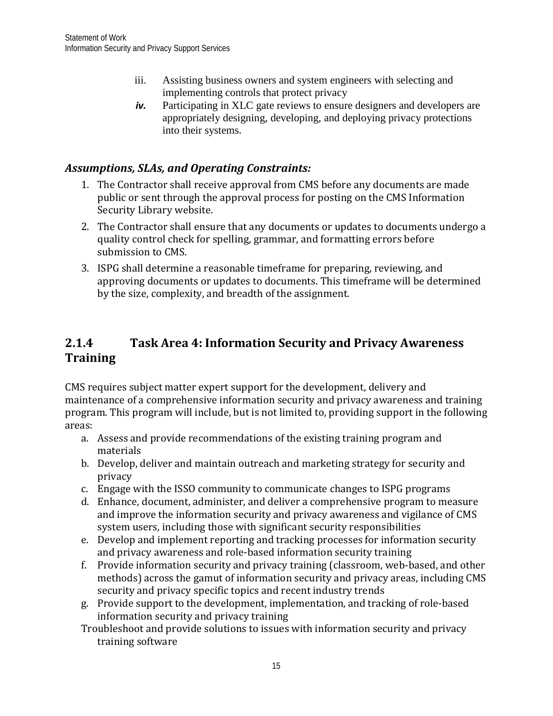- iii. Assisting business owners and system engineers with selecting and implementing controls that protect privacy
- *iv.* Participating in XLC gate reviews to ensure designers and developers are appropriately designing, developing, and deploying privacy protections into their systems.

## *Assumptions, SLAs, and Operating Constraints:*

- 1. The Contractor shall receive approval from CMS before any documents are made public or sent through the approval process for posting on the CMS Information Security Library website.
- 2. The Contractor shall ensure that any documents or updates to documents undergo a quality control check for spelling, grammar, and formatting errors before submission to CMS.
- 3. ISPG shall determine a reasonable timeframe for preparing, reviewing, and approving documents or updates to documents. This timeframe will be determined by the size, complexity, and breadth of the assignment.

# <span id="page-17-0"></span>**2.1.4 Task Area 4: Information Security and Privacy Awareness Training**

CMS requires subject matter expert support for the development, delivery and maintenance of a comprehensive information security and privacy awareness and training program. This program will include, but is not limited to, providing support in the following areas:

- a. Assess and provide recommendations of the existing training program and materials
- b. Develop, deliver and maintain outreach and marketing strategy for security and privacy
- c. Engage with the ISSO community to communicate changes to ISPG programs
- d. Enhance, document, administer, and deliver a comprehensive program to measure and improve the information security and privacy awareness and vigilance of CMS system users, including those with significant security responsibilities
- e. Develop and implement reporting and tracking processes for information security and privacy awareness and role-based information security training
- f. Provide information security and privacy training (classroom, web-based, and other methods) across the gamut of information security and privacy areas, including CMS security and privacy specific topics and recent industry trends
- g. Provide support to the development, implementation, and tracking of role-based information security and privacy training
- Troubleshoot and provide solutions to issues with information security and privacy training software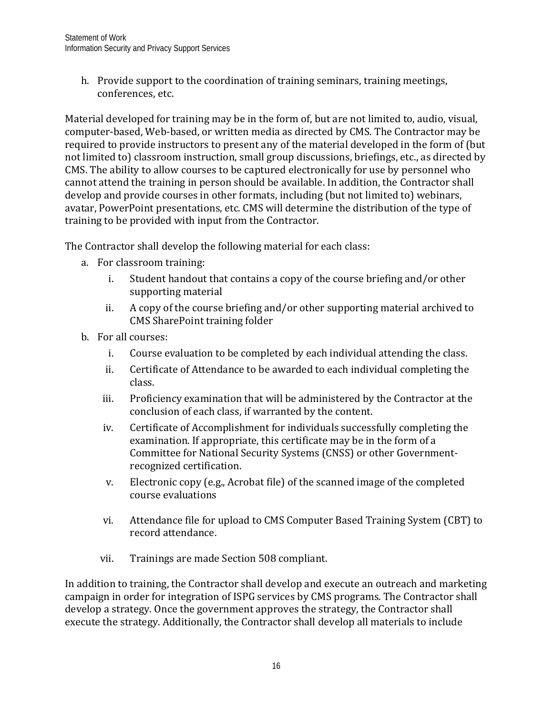h. Provide support to the coordination of training seminars, training meetings, conferences, etc.

Material developed for training may be in the form of, but are not limited to, audio, visual, computer-based, Web-based, or written media as directed by CMS. The Contractor may be required to provide instructors to present any of the material developed in the form of (but not limited to) classroom instruction, small group discussions, briefings, etc., as directed by CMS. The ability to allow courses to be captured electronically for use by personnel who cannot attend the training in person should be available. In addition, the Contractor shall develop and provide courses in other formats, including (but not limited to) webinars, avatar, PowerPoint presentations, etc. CMS will determine the distribution of the type of training to be provided with input from the Contractor.

The Contractor shall develop the following material for each class:

- a. For classroom training:
	- i. Student handout that contains a copy of the course briefing and/or other supporting material
	- ii. A copy of the course briefing and/or other supporting material archived to CMS SharePoint training folder
- b. For all courses:
	- i. Course evaluation to be completed by each individual attending the class.
	- ii. Certificate of Attendance to be awarded to each individual completing the class.
	- iii. Proficiency examination that will be administered by the Contractor at the conclusion of each class, if warranted by the content.
	- iv. Certificate of Accomplishment for individuals successfully completing the examination. If appropriate, this certificate may be in the form of a Committee for National Security Systems (CNSS) or other Governmentrecognized certification.
	- v. Electronic copy (e.g., Acrobat file) of the scanned image of the completed course evaluations
	- vi. Attendance file for upload to CMS Computer Based Training System (CBT) to record attendance.
	- vii. Trainings are made Section 508 compliant.

In addition to training, the Contractor shall develop and execute an outreach and marketing campaign in order for integration of ISPG services by CMS programs. The Contractor shall develop a strategy. Once the government approves the strategy, the Contractor shall execute the strategy. Additionally, the Contractor shall develop all materials to include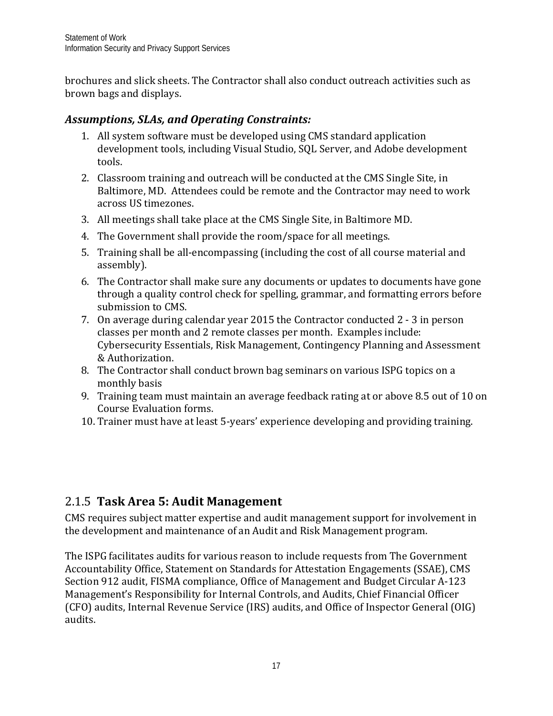brochures and slick sheets. The Contractor shall also conduct outreach activities such as brown bags and displays.

## *Assumptions, SLAs, and Operating Constraints:*

- 1. All system software must be developed using CMS standard application development tools, including Visual Studio, SQL Server, and Adobe development tools.
- 2. Classroom training and outreach will be conducted at the CMS Single Site, in Baltimore, MD. Attendees could be remote and the Contractor may need to work across US timezones.
- 3. All meetings shall take place at the CMS Single Site, in Baltimore MD.
- 4. The Government shall provide the room/space for all meetings.
- 5. Training shall be all-encompassing (including the cost of all course material and assembly).
- 6. The Contractor shall make sure any documents or updates to documents have gone through a quality control check for spelling, grammar, and formatting errors before submission to CMS.
- 7. On average during calendar year 2015 the Contractor conducted 2 3 in person classes per month and 2 remote classes per month. Examples include: Cybersecurity Essentials, Risk Management, Contingency Planning and Assessment & Authorization.
- 8. The Contractor shall conduct brown bag seminars on various ISPG topics on a monthly basis
- 9. Training team must maintain an average feedback rating at or above 8.5 out of 10 on Course Evaluation forms.
- 10. Trainer must have at least 5-years' experience developing and providing training.

# <span id="page-19-0"></span>2.1.5 **Task Area 5: Audit Management**

CMS requires subject matter expertise and audit management support for involvement in the development and maintenance of an Audit and Risk Management program.

The ISPG facilitates audits for various reason to include requests from The Government Accountability Office, Statement on Standards for Attestation Engagements (SSAE), CMS Section 912 audit, FISMA compliance, Office of Management and Budget Circular A-123 Management's Responsibility for Internal Controls, and Audits, Chief Financial Officer (CFO) audits, Internal Revenue Service (IRS) audits, and Office of Inspector General (OIG) audits.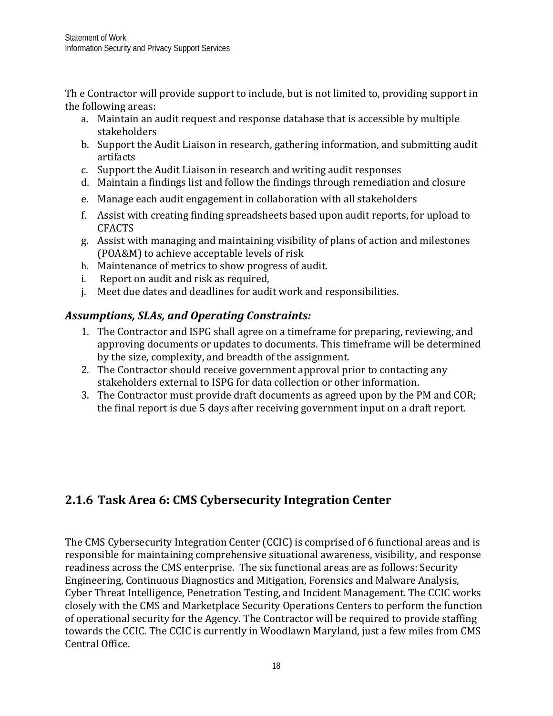Th e Contractor will provide support to include, but is not limited to, providing support in the following areas:

- a. Maintain an audit request and response database that is accessible by multiple stakeholders
- b. Support the Audit Liaison in research, gathering information, and submitting audit artifacts
- c. Support the Audit Liaison in research and writing audit responses
- d. Maintain a findings list and follow the findings through remediation and closure
- e. Manage each audit engagement in collaboration with all stakeholders
- f. Assist with creating finding spreadsheets based upon audit reports, for upload to CFACTS
- g. Assist with managing and maintaining visibility of plans of action and milestones (POA&M) to achieve acceptable levels of risk
- h. Maintenance of metrics to show progress of audit.
- i. Report on audit and risk as required,
- j. Meet due dates and deadlines for audit work and responsibilities.

## *Assumptions, SLAs, and Operating Constraints:*

- 1. The Contractor and ISPG shall agree on a timeframe for preparing, reviewing, and approving documents or updates to documents. This timeframe will be determined by the size, complexity, and breadth of the assignment.
- 2. The Contractor should receive government approval prior to contacting any stakeholders external to ISPG for data collection or other information.
- <span id="page-20-0"></span>3. The Contractor must provide draft documents as agreed upon by the PM and COR; the final report is due 5 days after receiving government input on a draft report.

# **2.1.6 Task Area 6: CMS Cybersecurity Integration Center**

The CMS Cybersecurity Integration Center (CCIC) is comprised of 6 functional areas and is responsible for maintaining comprehensive situational awareness, visibility, and response readiness across the CMS enterprise. The six functional areas are as follows: Security Engineering, Continuous Diagnostics and Mitigation, Forensics and Malware Analysis, Cyber Threat Intelligence, Penetration Testing, and Incident Management. The CCIC works closely with the CMS and Marketplace Security Operations Centers to perform the function of operational security for the Agency. The Contractor will be required to provide staffing towards the CCIC. The CCIC is currently in Woodlawn Maryland, just a few miles from CMS Central Office.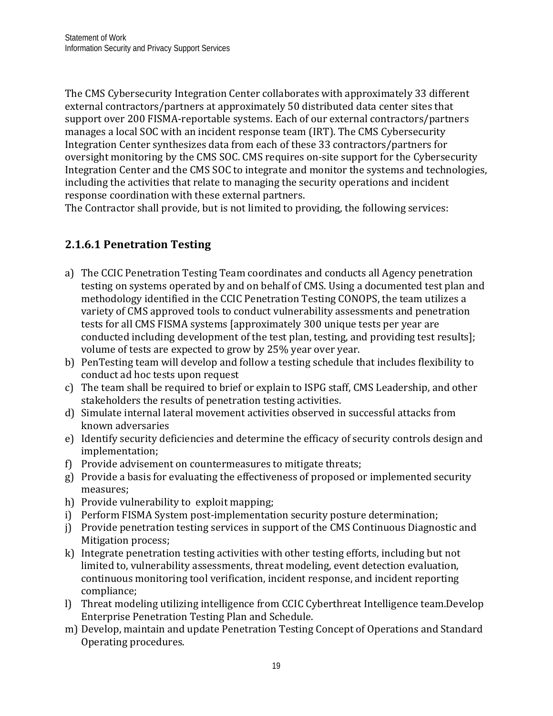The CMS Cybersecurity Integration Center collaborates with approximately 33 different external contractors/partners at approximately 50 distributed data center sites that support over 200 FISMA-reportable systems. Each of our external contractors/partners manages a local SOC with an incident response team (IRT). The CMS Cybersecurity Integration Center synthesizes data from each of these 33 contractors/partners for oversight monitoring by the CMS SOC. CMS requires on-site support for the Cybersecurity Integration Center and the CMS SOC to integrate and monitor the systems and technologies, including the activities that relate to managing the security operations and incident response coordination with these external partners.

The Contractor shall provide, but is not limited to providing, the following services:

# **2.1.6.1 Penetration Testing**

- a) The CCIC Penetration Testing Team coordinates and conducts all Agency penetration testing on systems operated by and on behalf of CMS. Using a documented test plan and methodology identified in the CCIC Penetration Testing CONOPS, the team utilizes a variety of CMS approved tools to conduct vulnerability assessments and penetration tests for all CMS FISMA systems [approximately 300 unique tests per year are conducted including development of the test plan, testing, and providing test results]; volume of tests are expected to grow by 25% year over year.
- b) PenTesting team will develop and follow a testing schedule that includes flexibility to conduct ad hoc tests upon request
- c) The team shall be required to brief or explain to ISPG staff, CMS Leadership, and other stakeholders the results of penetration testing activities.
- d) Simulate internal lateral movement activities observed in successful attacks from known adversaries
- e) Identify security deficiencies and determine the efficacy of security controls design and implementation;
- f) Provide advisement on countermeasures to mitigate threats;
- g) Provide a basis for evaluating the effectiveness of proposed or implemented security measures;
- h) Provide vulnerability to exploit mapping;
- i) Perform FISMA System post-implementation security posture determination;
- j) Provide penetration testing services in support of the CMS Continuous Diagnostic and Mitigation process;
- k) Integrate penetration testing activities with other testing efforts, including but not limited to, vulnerability assessments, threat modeling, event detection evaluation, continuous monitoring tool verification, incident response, and incident reporting compliance;
- l) Threat modeling utilizing intelligence from CCIC Cyberthreat Intelligence team.Develop Enterprise Penetration Testing Plan and Schedule.
- m) Develop, maintain and update Penetration Testing Concept of Operations and Standard Operating procedures.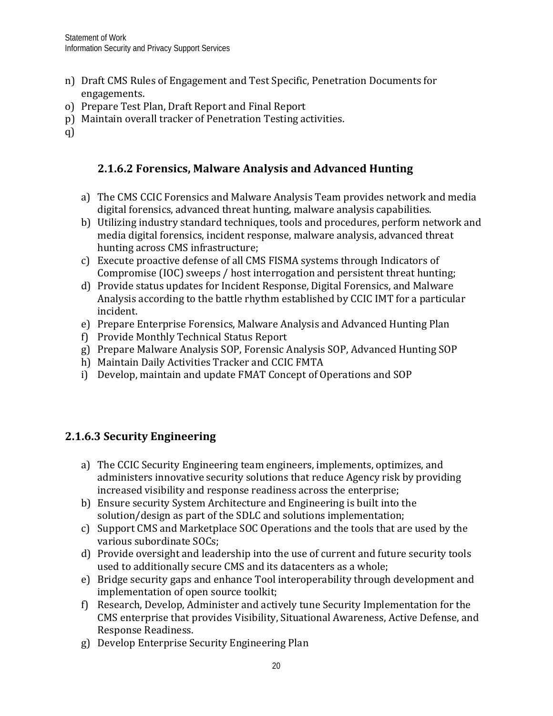- n) Draft CMS Rules of Engagement and Test Specific, Penetration Documents for engagements.
- o) Prepare Test Plan, Draft Report and Final Report
- p) Maintain overall tracker of Penetration Testing activities.
- q)

# **2.1.6.2 Forensics, Malware Analysis and Advanced Hunting**

- a) The CMS CCIC Forensics and Malware Analysis Team provides network and media digital forensics, advanced threat hunting, malware analysis capabilities.
- b) Utilizing industry standard techniques, tools and procedures, perform network and media digital forensics, incident response, malware analysis, advanced threat hunting across CMS infrastructure;
- c) Execute proactive defense of all CMS FISMA systems through Indicators of Compromise (IOC) sweeps / host interrogation and persistent threat hunting;
- d) Provide status updates for Incident Response, Digital Forensics, and Malware Analysis according to the battle rhythm established by CCIC IMT for a particular incident.
- e) Prepare Enterprise Forensics, Malware Analysis and Advanced Hunting Plan
- f) Provide Monthly Technical Status Report
- g) Prepare Malware Analysis SOP, Forensic Analysis SOP, Advanced Hunting SOP
- h) Maintain Daily Activities Tracker and CCIC FMTA
- i) Develop, maintain and update FMAT Concept of Operations and SOP

# **2.1.6.3 Security Engineering**

- a) The CCIC Security Engineering team engineers, implements, optimizes, and administers innovative security solutions that reduce Agency risk by providing increased visibility and response readiness across the enterprise;
- b) Ensure security System Architecture and Engineering is built into the solution/design as part of the SDLC and solutions implementation;
- c) Support CMS and Marketplace SOC Operations and the tools that are used by the various subordinate SOCs;
- d) Provide oversight and leadership into the use of current and future security tools used to additionally secure CMS and its datacenters as a whole;
- e) Bridge security gaps and enhance Tool interoperability through development and implementation of open source toolkit;
- f) Research, Develop, Administer and actively tune Security Implementation for the CMS enterprise that provides Visibility, Situational Awareness, Active Defense, and Response Readiness.
- g) Develop Enterprise Security Engineering Plan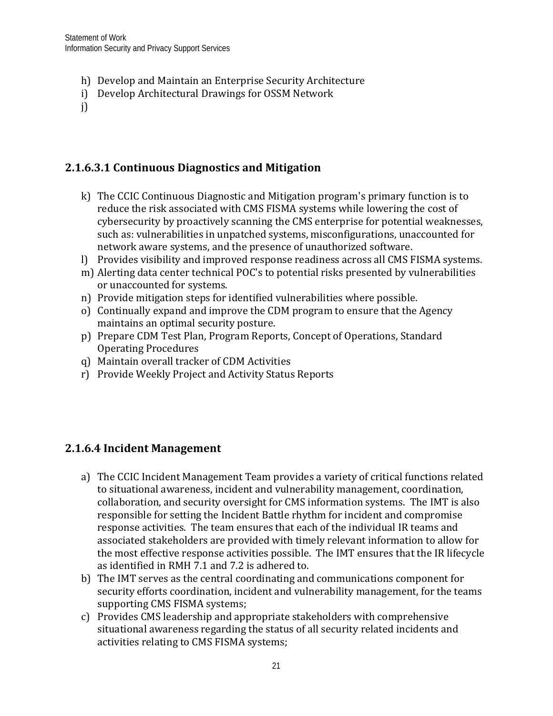- h) Develop and Maintain an Enterprise Security Architecture
- i) Develop Architectural Drawings for OSSM Network
- j)

# **2.1.6.3.1 Continuous Diagnostics and Mitigation**

- k) The CCIC Continuous Diagnostic and Mitigation program's primary function is to reduce the risk associated with CMS FISMA systems while lowering the cost of cybersecurity by proactively scanning the CMS enterprise for potential weaknesses, such as: vulnerabilities in unpatched systems, misconfigurations, unaccounted for network aware systems, and the presence of unauthorized software.
- l) Provides visibility and improved response readiness across all CMS FISMA systems.
- m) Alerting data center technical POC's to potential risks presented by vulnerabilities or unaccounted for systems.
- n) Provide mitigation steps for identified vulnerabilities where possible.
- o) Continually expand and improve the CDM program to ensure that the Agency maintains an optimal security posture.
- p) Prepare CDM Test Plan, Program Reports, Concept of Operations, Standard Operating Procedures
- q) Maintain overall tracker of CDM Activities
- r) Provide Weekly Project and Activity Status Reports

#### **2.1.6.4 Incident Management**

- a) The CCIC Incident Management Team provides a variety of critical functions related to situational awareness, incident and vulnerability management, coordination, collaboration, and security oversight for CMS information systems. The IMT is also responsible for setting the Incident Battle rhythm for incident and compromise response activities. The team ensures that each of the individual IR teams and associated stakeholders are provided with timely relevant information to allow for the most effective response activities possible. The IMT ensures that the IR lifecycle as identified in RMH 7.1 and 7.2 is adhered to.
- b) The IMT serves as the central coordinating and communications component for security efforts coordination, incident and vulnerability management, for the teams supporting CMS FISMA systems;
- c) Provides CMS leadership and appropriate stakeholders with comprehensive situational awareness regarding the status of all security related incidents and activities relating to CMS FISMA systems;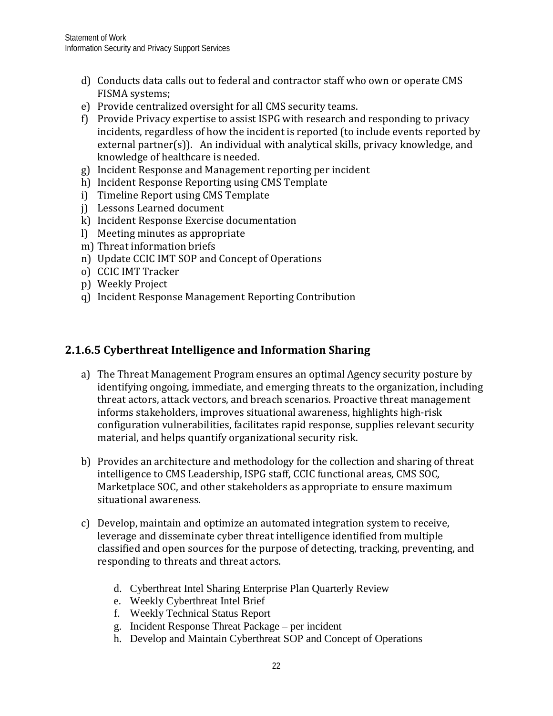- d) Conducts data calls out to federal and contractor staff who own or operate CMS FISMA systems;
- e) Provide centralized oversight for all CMS security teams.
- f) Provide Privacy expertise to assist ISPG with research and responding to privacy incidents, regardless of how the incident is reported (to include events reported by external partner(s)). An individual with analytical skills, privacy knowledge, and knowledge of healthcare is needed.
- g) Incident Response and Management reporting per incident
- h) Incident Response Reporting using CMS Template
- i) Timeline Report using CMS Template
- j) Lessons Learned document
- k) Incident Response Exercise documentation
- l) Meeting minutes as appropriate
- m) Threat information briefs
- n) Update CCIC IMT SOP and Concept of Operations
- o) CCIC IMT Tracker
- p) Weekly Project
- q) Incident Response Management Reporting Contribution

## **2.1.6.5 Cyberthreat Intelligence and Information Sharing**

- a) The Threat Management Program ensures an optimal Agency security posture by identifying ongoing, immediate, and emerging threats to the organization, including threat actors, attack vectors, and breach scenarios. Proactive threat management informs stakeholders, improves situational awareness, highlights high-risk configuration vulnerabilities, facilitates rapid response, supplies relevant security material, and helps quantify organizational security risk.
- b) Provides an architecture and methodology for the collection and sharing of threat intelligence to CMS Leadership, ISPG staff, CCIC functional areas, CMS SOC, Marketplace SOC, and other stakeholders as appropriate to ensure maximum situational awareness.
- c) Develop, maintain and optimize an automated integration system to receive, leverage and disseminate cyber threat intelligence identified from multiple classified and open sources for the purpose of detecting, tracking, preventing, and responding to threats and threat actors.
	- d. Cyberthreat Intel Sharing Enterprise Plan Quarterly Review
	- e. Weekly Cyberthreat Intel Brief
	- f. Weekly Technical Status Report
	- g. Incident Response Threat Package per incident
	- h. Develop and Maintain Cyberthreat SOP and Concept of Operations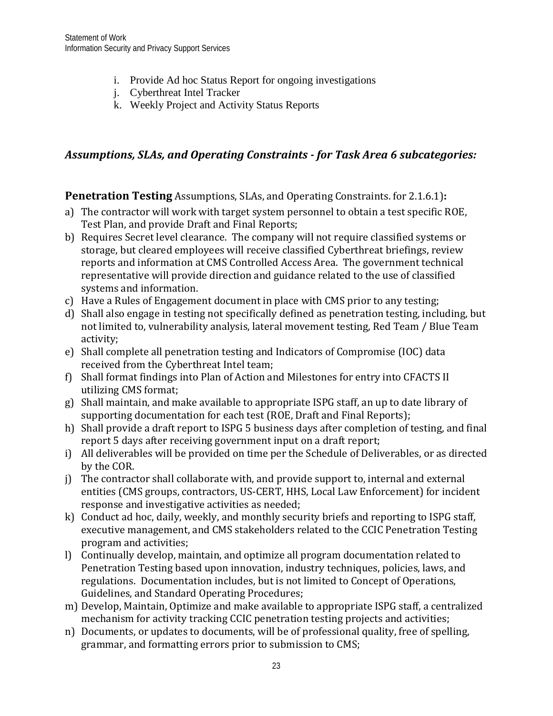- i. Provide Ad hoc Status Report for ongoing investigations
- j. Cyberthreat Intel Tracker
- k. Weekly Project and Activity Status Reports

## *Assumptions, SLAs, and Operating Constraints - for Task Area 6 subcategories:*

**Penetration Testing** Assumptions, SLAs, and Operating Constraints. for 2.1.6.1)**:**

- a) The contractor will work with target system personnel to obtain a test specific ROE, Test Plan, and provide Draft and Final Reports;
- b) Requires Secret level clearance. The company will not require classified systems or storage, but cleared employees will receive classified Cyberthreat briefings, review reports and information at CMS Controlled Access Area. The government technical representative will provide direction and guidance related to the use of classified systems and information.
- c) Have a Rules of Engagement document in place with CMS prior to any testing;
- d) Shall also engage in testing not specifically defined as penetration testing, including, but not limited to, vulnerability analysis, lateral movement testing, Red Team / Blue Team activity;
- e) Shall complete all penetration testing and Indicators of Compromise (IOC) data received from the Cyberthreat Intel team;
- f) Shall format findings into Plan of Action and Milestones for entry into CFACTS II utilizing CMS format;
- g) Shall maintain, and make available to appropriate ISPG staff, an up to date library of supporting documentation for each test (ROE, Draft and Final Reports);
- h) Shall provide a draft report to ISPG 5 business days after completion of testing, and final report 5 days after receiving government input on a draft report;
- i) All deliverables will be provided on time per the Schedule of Deliverables, or as directed by the COR.
- j) The contractor shall collaborate with, and provide support to, internal and external entities (CMS groups, contractors, US-CERT, HHS, Local Law Enforcement) for incident response and investigative activities as needed;
- k) Conduct ad hoc, daily, weekly, and monthly security briefs and reporting to ISPG staff, executive management, and CMS stakeholders related to the CCIC Penetration Testing program and activities;
- l) Continually develop, maintain, and optimize all program documentation related to Penetration Testing based upon innovation, industry techniques, policies, laws, and regulations. Documentation includes, but is not limited to Concept of Operations, Guidelines, and Standard Operating Procedures;
- m) Develop, Maintain, Optimize and make available to appropriate ISPG staff, a centralized mechanism for activity tracking CCIC penetration testing projects and activities;
- n) Documents, or updates to documents, will be of professional quality, free of spelling, grammar, and formatting errors prior to submission to CMS;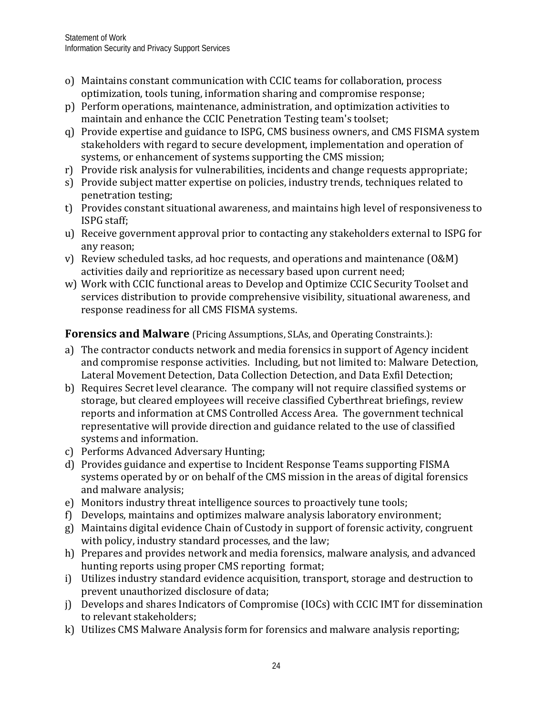- o) Maintains constant communication with CCIC teams for collaboration, process optimization, tools tuning, information sharing and compromise response;
- p) Perform operations, maintenance, administration, and optimization activities to maintain and enhance the CCIC Penetration Testing team's toolset;
- q) Provide expertise and guidance to ISPG, CMS business owners, and CMS FISMA system stakeholders with regard to secure development, implementation and operation of systems, or enhancement of systems supporting the CMS mission;
- r) Provide risk analysis for vulnerabilities, incidents and change requests appropriate;
- s) Provide subject matter expertise on policies, industry trends, techniques related to penetration testing;
- t) Provides constant situational awareness, and maintains high level of responsiveness to ISPG staff;
- u) Receive government approval prior to contacting any stakeholders external to ISPG for any reason;
- v) Review scheduled tasks, ad hoc requests, and operations and maintenance (O&M) activities daily and reprioritize as necessary based upon current need;
- w) Work with CCIC functional areas to Develop and Optimize CCIC Security Toolset and services distribution to provide comprehensive visibility, situational awareness, and response readiness for all CMS FISMA systems.

## **Forensics and Malware** (Pricing Assumptions, SLAs, and Operating Constraints.):

- a) The contractor conducts network and media forensics in support of Agency incident and compromise response activities. Including, but not limited to: Malware Detection, Lateral Movement Detection, Data Collection Detection, and Data Exfil Detection;
- b) Requires Secret level clearance. The company will not require classified systems or storage, but cleared employees will receive classified Cyberthreat briefings, review reports and information at CMS Controlled Access Area. The government technical representative will provide direction and guidance related to the use of classified systems and information.
- c) Performs Advanced Adversary Hunting;
- d) Provides guidance and expertise to Incident Response Teams supporting FISMA systems operated by or on behalf of the CMS mission in the areas of digital forensics and malware analysis;
- e) Monitors industry threat intelligence sources to proactively tune tools;
- f) Develops, maintains and optimizes malware analysis laboratory environment;
- g) Maintains digital evidence Chain of Custody in support of forensic activity, congruent with policy, industry standard processes, and the law;
- h) Prepares and provides network and media forensics, malware analysis, and advanced hunting reports using proper CMS reporting format;
- i) Utilizes industry standard evidence acquisition, transport, storage and destruction to prevent unauthorized disclosure of data;
- j) Develops and shares Indicators of Compromise (IOCs) with CCIC IMT for dissemination to relevant stakeholders;
- k) Utilizes CMS Malware Analysis form for forensics and malware analysis reporting;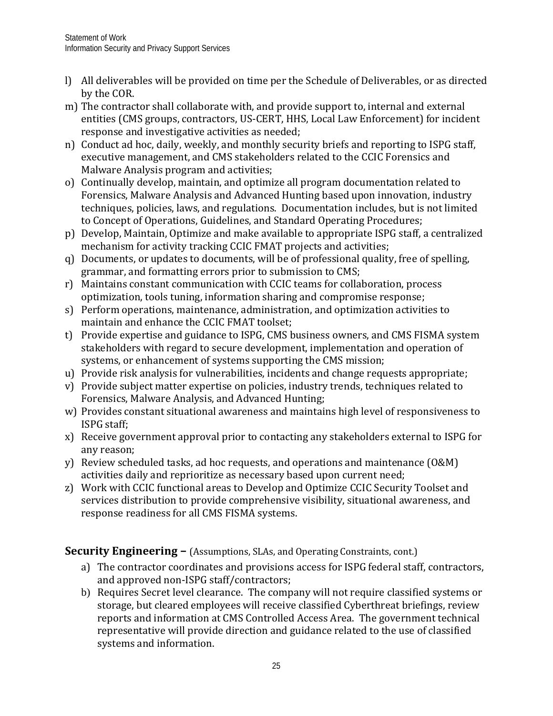- l) All deliverables will be provided on time per the Schedule of Deliverables, or as directed by the COR.
- m) The contractor shall collaborate with, and provide support to, internal and external entities (CMS groups, contractors, US-CERT, HHS, Local Law Enforcement) for incident response and investigative activities as needed;
- n) Conduct ad hoc, daily, weekly, and monthly security briefs and reporting to ISPG staff, executive management, and CMS stakeholders related to the CCIC Forensics and Malware Analysis program and activities;
- o) Continually develop, maintain, and optimize all program documentation related to Forensics, Malware Analysis and Advanced Hunting based upon innovation, industry techniques, policies, laws, and regulations. Documentation includes, but is not limited to Concept of Operations, Guidelines, and Standard Operating Procedures;
- p) Develop, Maintain, Optimize and make available to appropriate ISPG staff, a centralized mechanism for activity tracking CCIC FMAT projects and activities;
- q) Documents, or updates to documents, will be of professional quality, free of spelling, grammar, and formatting errors prior to submission to CMS;
- r) Maintains constant communication with CCIC teams for collaboration, process optimization, tools tuning, information sharing and compromise response;
- s) Perform operations, maintenance, administration, and optimization activities to maintain and enhance the CCIC FMAT toolset;
- t) Provide expertise and guidance to ISPG, CMS business owners, and CMS FISMA system stakeholders with regard to secure development, implementation and operation of systems, or enhancement of systems supporting the CMS mission;
- u) Provide risk analysis for vulnerabilities, incidents and change requests appropriate;
- v) Provide subject matter expertise on policies, industry trends, techniques related to Forensics, Malware Analysis, and Advanced Hunting;
- w) Provides constant situational awareness and maintains high level of responsiveness to ISPG staff;
- x) Receive government approval prior to contacting any stakeholders external to ISPG for any reason;
- y) Review scheduled tasks, ad hoc requests, and operations and maintenance (O&M) activities daily and reprioritize as necessary based upon current need;
- z) Work with CCIC functional areas to Develop and Optimize CCIC Security Toolset and services distribution to provide comprehensive visibility, situational awareness, and response readiness for all CMS FISMA systems.

**Security Engineering –** (Assumptions, SLAs, and Operating Constraints, cont.)

- a) The contractor coordinates and provisions access for ISPG federal staff, contractors, and approved non-ISPG staff/contractors;
- b) Requires Secret level clearance. The company will not require classified systems or storage, but cleared employees will receive classified Cyberthreat briefings, review reports and information at CMS Controlled Access Area. The government technical representative will provide direction and guidance related to the use of classified systems and information.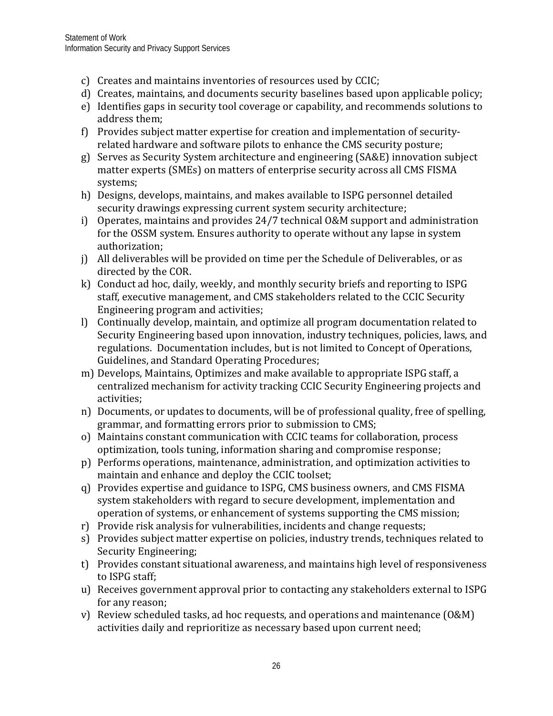- c) Creates and maintains inventories of resources used by CCIC;
- d) Creates, maintains, and documents security baselines based upon applicable policy;
- e) Identifies gaps in security tool coverage or capability, and recommends solutions to address them;
- f) Provides subject matter expertise for creation and implementation of securityrelated hardware and software pilots to enhance the CMS security posture;
- g) Serves as Security System architecture and engineering (SA&E) innovation subject matter experts (SMEs) on matters of enterprise security across all CMS FISMA systems;
- h) Designs, develops, maintains, and makes available to ISPG personnel detailed security drawings expressing current system security architecture;
- i) Operates, maintains and provides 24/7 technical O&M support and administration for the OSSM system. Ensures authority to operate without any lapse in system authorization;
- j) All deliverables will be provided on time per the Schedule of Deliverables, or as directed by the COR.
- k) Conduct ad hoc, daily, weekly, and monthly security briefs and reporting to ISPG staff, executive management, and CMS stakeholders related to the CCIC Security Engineering program and activities;
- l) Continually develop, maintain, and optimize all program documentation related to Security Engineering based upon innovation, industry techniques, policies, laws, and regulations. Documentation includes, but is not limited to Concept of Operations, Guidelines, and Standard Operating Procedures;
- m) Develops, Maintains, Optimizes and make available to appropriate ISPG staff, a centralized mechanism for activity tracking CCIC Security Engineering projects and activities;
- n) Documents, or updates to documents, will be of professional quality, free of spelling, grammar, and formatting errors prior to submission to CMS;
- o) Maintains constant communication with CCIC teams for collaboration, process optimization, tools tuning, information sharing and compromise response;
- p) Performs operations, maintenance, administration, and optimization activities to maintain and enhance and deploy the CCIC toolset;
- q) Provides expertise and guidance to ISPG, CMS business owners, and CMS FISMA system stakeholders with regard to secure development, implementation and operation of systems, or enhancement of systems supporting the CMS mission;
- r) Provide risk analysis for vulnerabilities, incidents and change requests;
- s) Provides subject matter expertise on policies, industry trends, techniques related to Security Engineering;
- t) Provides constant situational awareness, and maintains high level of responsiveness to ISPG staff;
- u) Receives government approval prior to contacting any stakeholders external to ISPG for any reason;
- v) Review scheduled tasks, ad hoc requests, and operations and maintenance (O&M) activities daily and reprioritize as necessary based upon current need;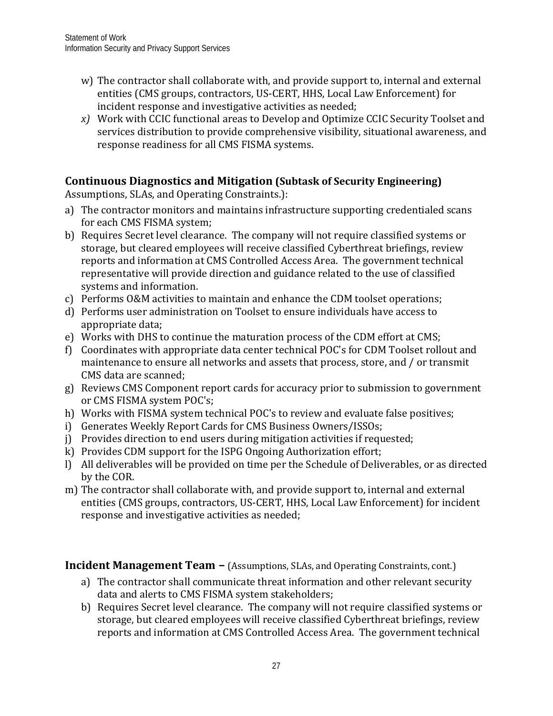- w) The contractor shall collaborate with, and provide support to, internal and external entities (CMS groups, contractors, US-CERT, HHS, Local Law Enforcement) for incident response and investigative activities as needed;
- *x)* Work with CCIC functional areas to Develop and Optimize CCIC Security Toolset and services distribution to provide comprehensive visibility, situational awareness, and response readiness for all CMS FISMA systems.

## **Continuous Diagnostics and Mitigation (Subtask of Security Engineering)**

Assumptions, SLAs, and Operating Constraints.):

- a) The contractor monitors and maintains infrastructure supporting credentialed scans for each CMS FISMA system;
- b) Requires Secret level clearance. The company will not require classified systems or storage, but cleared employees will receive classified Cyberthreat briefings, review reports and information at CMS Controlled Access Area. The government technical representative will provide direction and guidance related to the use of classified systems and information.
- c) Performs O&M activities to maintain and enhance the CDM toolset operations;
- d) Performs user administration on Toolset to ensure individuals have access to appropriate data;
- e) Works with DHS to continue the maturation process of the CDM effort at CMS;
- f) Coordinates with appropriate data center technical POC's for CDM Toolset rollout and maintenance to ensure all networks and assets that process, store, and / or transmit CMS data are scanned;
- g) Reviews CMS Component report cards for accuracy prior to submission to government or CMS FISMA system POC's;
- h) Works with FISMA system technical POC's to review and evaluate false positives;
- i) Generates Weekly Report Cards for CMS Business Owners/ISSOs;
- j) Provides direction to end users during mitigation activities if requested;
- k) Provides CDM support for the ISPG Ongoing Authorization effort;
- l) All deliverables will be provided on time per the Schedule of Deliverables, or as directed by the COR.
- m) The contractor shall collaborate with, and provide support to, internal and external entities (CMS groups, contractors, US-CERT, HHS, Local Law Enforcement) for incident response and investigative activities as needed;

**Incident Management Team –** (Assumptions, SLAs, and Operating Constraints, cont.)

- a) The contractor shall communicate threat information and other relevant security data and alerts to CMS FISMA system stakeholders;
- b) Requires Secret level clearance. The company will not require classified systems or storage, but cleared employees will receive classified Cyberthreat briefings, review reports and information at CMS Controlled Access Area. The government technical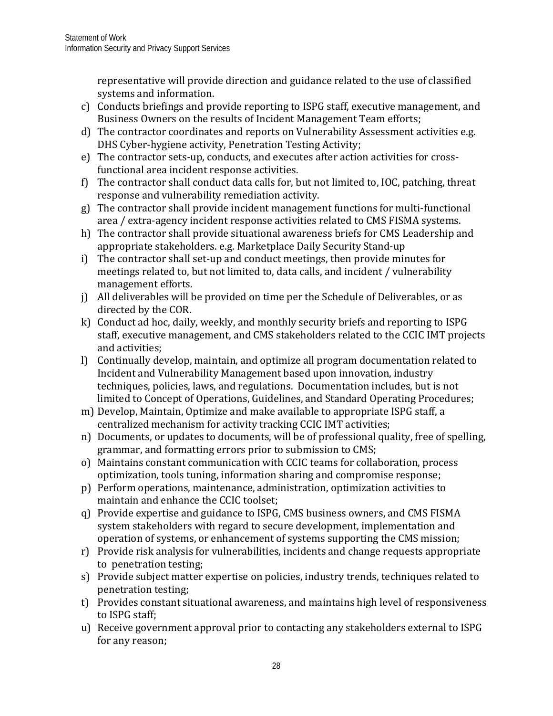representative will provide direction and guidance related to the use of classified systems and information.

- c) Conducts briefings and provide reporting to ISPG staff, executive management, and Business Owners on the results of Incident Management Team efforts;
- d) The contractor coordinates and reports on Vulnerability Assessment activities e.g. DHS Cyber-hygiene activity, Penetration Testing Activity;
- e) The contractor sets-up, conducts, and executes after action activities for crossfunctional area incident response activities.
- f) The contractor shall conduct data calls for, but not limited to, IOC, patching, threat response and vulnerability remediation activity.
- g) The contractor shall provide incident management functions for multi-functional area / extra-agency incident response activities related to CMS FISMA systems.
- h) The contractor shall provide situational awareness briefs for CMS Leadership and appropriate stakeholders. e.g. Marketplace Daily Security Stand-up
- i) The contractor shall set-up and conduct meetings, then provide minutes for meetings related to, but not limited to, data calls, and incident / vulnerability management efforts.
- j) All deliverables will be provided on time per the Schedule of Deliverables, or as directed by the COR.
- k) Conduct ad hoc, daily, weekly, and monthly security briefs and reporting to ISPG staff, executive management, and CMS stakeholders related to the CCIC IMT projects and activities;
- l) Continually develop, maintain, and optimize all program documentation related to Incident and Vulnerability Management based upon innovation, industry techniques, policies, laws, and regulations. Documentation includes, but is not limited to Concept of Operations, Guidelines, and Standard Operating Procedures;
- m) Develop, Maintain, Optimize and make available to appropriate ISPG staff, a centralized mechanism for activity tracking CCIC IMT activities;
- n) Documents, or updates to documents, will be of professional quality, free of spelling, grammar, and formatting errors prior to submission to CMS;
- o) Maintains constant communication with CCIC teams for collaboration, process optimization, tools tuning, information sharing and compromise response;
- p) Perform operations, maintenance, administration, optimization activities to maintain and enhance the CCIC toolset;
- q) Provide expertise and guidance to ISPG, CMS business owners, and CMS FISMA system stakeholders with regard to secure development, implementation and operation of systems, or enhancement of systems supporting the CMS mission;
- r) Provide risk analysis for vulnerabilities, incidents and change requests appropriate to penetration testing;
- s) Provide subject matter expertise on policies, industry trends, techniques related to penetration testing;
- t) Provides constant situational awareness, and maintains high level of responsiveness to ISPG staff;
- u) Receive government approval prior to contacting any stakeholders external to ISPG for any reason;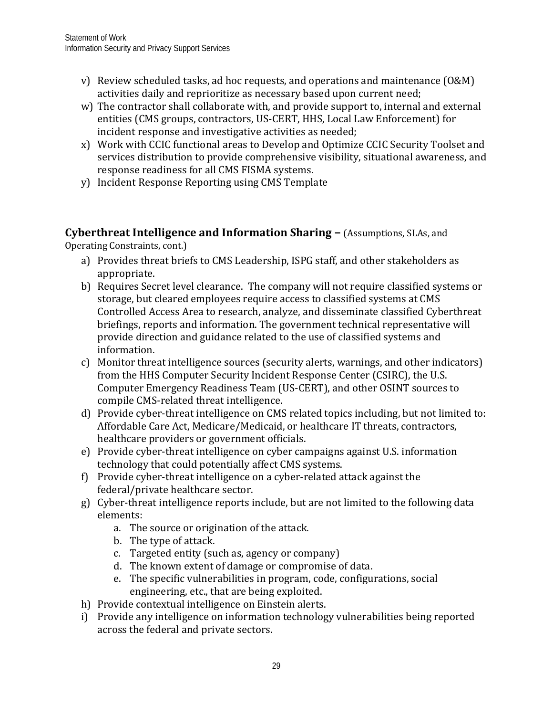- v) Review scheduled tasks, ad hoc requests, and operations and maintenance (O&M) activities daily and reprioritize as necessary based upon current need;
- w) The contractor shall collaborate with, and provide support to, internal and external entities (CMS groups, contractors, US-CERT, HHS, Local Law Enforcement) for incident response and investigative activities as needed;
- x) Work with CCIC functional areas to Develop and Optimize CCIC Security Toolset and services distribution to provide comprehensive visibility, situational awareness, and response readiness for all CMS FISMA systems.
- y) Incident Response Reporting using CMS Template

**Cyberthreat Intelligence and Information Sharing –** (Assumptions, SLAs, and Operating Constraints, cont.)

- a) Provides threat briefs to CMS Leadership, ISPG staff, and other stakeholders as appropriate.
- b) Requires Secret level clearance. The company will not require classified systems or storage, but cleared employees require access to classified systems at CMS Controlled Access Area to research, analyze, and disseminate classified Cyberthreat briefings, reports and information. The government technical representative will provide direction and guidance related to the use of classified systems and information.
- c) Monitor threat intelligence sources (security alerts, warnings, and other indicators) from the HHS Computer Security Incident Response Center (CSIRC), the U.S. Computer Emergency Readiness Team (US-CERT), and other OSINT sources to compile CMS-related threat intelligence.
- d) Provide cyber-threat intelligence on CMS related topics including, but not limited to: Affordable Care Act, Medicare/Medicaid, or healthcare IT threats, contractors, healthcare providers or government officials.
- e) Provide cyber-threat intelligence on cyber campaigns against U.S. information technology that could potentially affect CMS systems.
- f) Provide cyber-threat intelligence on a cyber-related attack against the federal/private healthcare sector.
- g) Cyber-threat intelligence reports include, but are not limited to the following data elements:
	- a. The source or origination of the attack.
	- b. The type of attack.
	- c. Targeted entity (such as, agency or company)
	- d. The known extent of damage or compromise of data.
	- e. The specific vulnerabilities in program, code, configurations, social engineering, etc., that are being exploited.
- h) Provide contextual intelligence on Einstein alerts.
- i) Provide any intelligence on information technology vulnerabilities being reported across the federal and private sectors.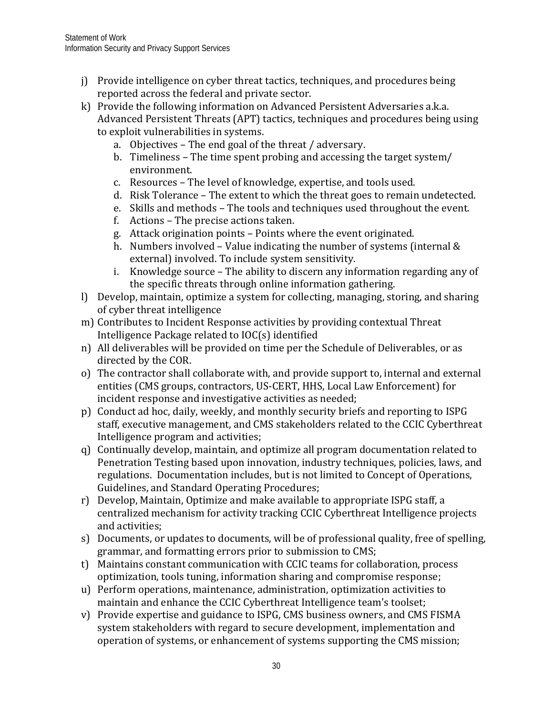- j) Provide intelligence on cyber threat tactics, techniques, and procedures being reported across the federal and private sector.
- k) Provide the following information on Advanced Persistent Adversaries a.k.a. Advanced Persistent Threats (APT) tactics, techniques and procedures being using to exploit vulnerabilities in systems.
	- a. Objectives The end goal of the threat / adversary.
	- b. Timeliness The time spent probing and accessing the target system/ environment.
	- c. Resources The level of knowledge, expertise, and tools used.
	- d. Risk Tolerance The extent to which the threat goes to remain undetected.
	- e. Skills and methods The tools and techniques used throughout the event.
	- f. Actions The precise actions taken.
	- g. Attack origination points Points where the event originated.
	- h. Numbers involved Value indicating the number of systems (internal & external) involved. To include system sensitivity.
	- i. Knowledge source The ability to discern any information regarding any of the specific threats through online information gathering.
- l) Develop, maintain, optimize a system for collecting, managing, storing, and sharing of cyber threat intelligence
- m) Contributes to Incident Response activities by providing contextual Threat Intelligence Package related to IOC(s) identified
- n) All deliverables will be provided on time per the Schedule of Deliverables, or as directed by the COR.
- o) The contractor shall collaborate with, and provide support to, internal and external entities (CMS groups, contractors, US-CERT, HHS, Local Law Enforcement) for incident response and investigative activities as needed;
- p) Conduct ad hoc, daily, weekly, and monthly security briefs and reporting to ISPG staff, executive management, and CMS stakeholders related to the CCIC Cyberthreat Intelligence program and activities;
- q) Continually develop, maintain, and optimize all program documentation related to Penetration Testing based upon innovation, industry techniques, policies, laws, and regulations. Documentation includes, but is not limited to Concept of Operations, Guidelines, and Standard Operating Procedures;
- r) Develop, Maintain, Optimize and make available to appropriate ISPG staff, a centralized mechanism for activity tracking CCIC Cyberthreat Intelligence projects and activities;
- s) Documents, or updates to documents, will be of professional quality, free of spelling, grammar, and formatting errors prior to submission to CMS;
- t) Maintains constant communication with CCIC teams for collaboration, process optimization, tools tuning, information sharing and compromise response;
- u) Perform operations, maintenance, administration, optimization activities to maintain and enhance the CCIC Cyberthreat Intelligence team's toolset;
- v) Provide expertise and guidance to ISPG, CMS business owners, and CMS FISMA system stakeholders with regard to secure development, implementation and operation of systems, or enhancement of systems supporting the CMS mission;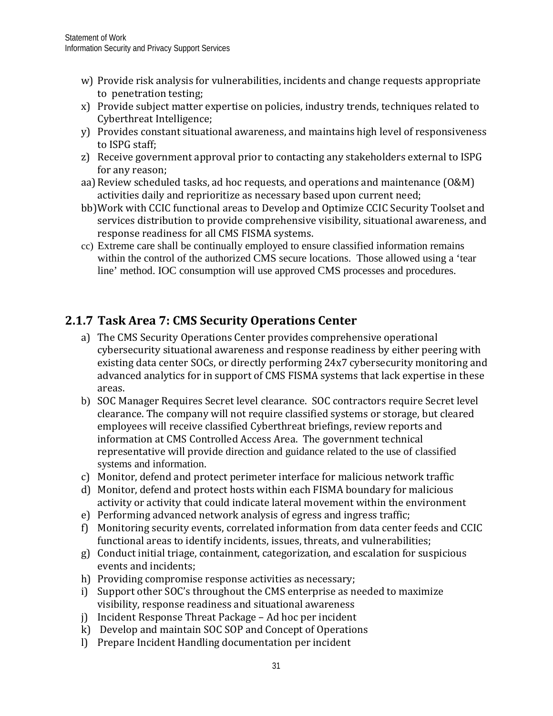- w) Provide risk analysis for vulnerabilities, incidents and change requests appropriate to penetration testing;
- x) Provide subject matter expertise on policies, industry trends, techniques related to Cyberthreat Intelligence;
- y) Provides constant situational awareness, and maintains high level of responsiveness to ISPG staff;
- z) Receive government approval prior to contacting any stakeholders external to ISPG for any reason;
- aa)Review scheduled tasks, ad hoc requests, and operations and maintenance (O&M) activities daily and reprioritize as necessary based upon current need;
- bb)Work with CCIC functional areas to Develop and Optimize CCIC Security Toolset and services distribution to provide comprehensive visibility, situational awareness, and response readiness for all CMS FISMA systems.
- cc) Extreme care shall be continually employed to ensure classified information remains within the control of the authorized CMS secure locations. Those allowed using a 'tear line' method. IOC consumption will use approved CMS processes and procedures.

# **2.1.7 Task Area 7: CMS Security Operations Center**

- a) The CMS Security Operations Center provides comprehensive operational cybersecurity situational awareness and response readiness by either peering with existing data center SOCs, or directly performing 24x7 cybersecurity monitoring and advanced analytics for in support of CMS FISMA systems that lack expertise in these areas.
- b) SOC Manager Requires Secret level clearance. SOC contractors require Secret level clearance. The company will not require classified systems or storage, but cleared employees will receive classified Cyberthreat briefings, review reports and information at CMS Controlled Access Area. The government technical representative will provide direction and guidance related to the use of classified systems and information.
- c) Monitor, defend and protect perimeter interface for malicious network traffic
- d) Monitor, defend and protect hosts within each FISMA boundary for malicious activity or activity that could indicate lateral movement within the environment
- e) Performing advanced network analysis of egress and ingress traffic;
- f) Monitoring security events, correlated information from data center feeds and CCIC functional areas to identify incidents, issues, threats, and vulnerabilities;
- g) Conduct initial triage, containment, categorization, and escalation for suspicious events and incidents;
- h) Providing compromise response activities as necessary;
- i) Support other SOC's throughout the CMS enterprise as needed to maximize visibility, response readiness and situational awareness
- j) Incident Response Threat Package Ad hoc per incident
- k) Develop and maintain SOC SOP and Concept of Operations
- l) Prepare Incident Handling documentation per incident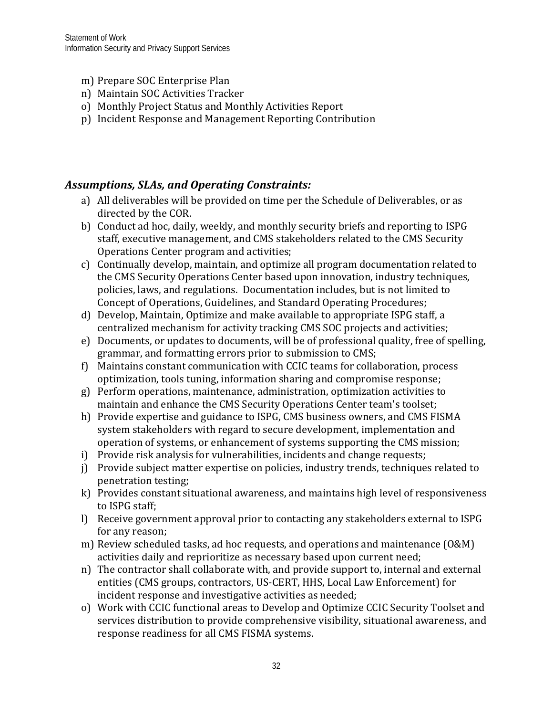- m) Prepare SOC Enterprise Plan
- n) Maintain SOC Activities Tracker
- o) Monthly Project Status and Monthly Activities Report
- p) Incident Response and Management Reporting Contribution

#### *Assumptions, SLAs, and Operating Constraints:*

- a) All deliverables will be provided on time per the Schedule of Deliverables, or as directed by the COR.
- b) Conduct ad hoc, daily, weekly, and monthly security briefs and reporting to ISPG staff, executive management, and CMS stakeholders related to the CMS Security Operations Center program and activities;
- c) Continually develop, maintain, and optimize all program documentation related to the CMS Security Operations Center based upon innovation, industry techniques, policies, laws, and regulations. Documentation includes, but is not limited to Concept of Operations, Guidelines, and Standard Operating Procedures;
- d) Develop, Maintain, Optimize and make available to appropriate ISPG staff, a centralized mechanism for activity tracking CMS SOC projects and activities;
- e) Documents, or updates to documents, will be of professional quality, free of spelling, grammar, and formatting errors prior to submission to CMS;
- f) Maintains constant communication with CCIC teams for collaboration, process optimization, tools tuning, information sharing and compromise response;
- g) Perform operations, maintenance, administration, optimization activities to maintain and enhance the CMS Security Operations Center team's toolset;
- h) Provide expertise and guidance to ISPG, CMS business owners, and CMS FISMA system stakeholders with regard to secure development, implementation and operation of systems, or enhancement of systems supporting the CMS mission;
- i) Provide risk analysis for vulnerabilities, incidents and change requests;
- j) Provide subject matter expertise on policies, industry trends, techniques related to penetration testing;
- k) Provides constant situational awareness, and maintains high level of responsiveness to ISPG staff;
- l) Receive government approval prior to contacting any stakeholders external to ISPG for any reason;
- m) Review scheduled tasks, ad hoc requests, and operations and maintenance (O&M) activities daily and reprioritize as necessary based upon current need;
- n) The contractor shall collaborate with, and provide support to, internal and external entities (CMS groups, contractors, US-CERT, HHS, Local Law Enforcement) for incident response and investigative activities as needed;
- o) Work with CCIC functional areas to Develop and Optimize CCIC Security Toolset and services distribution to provide comprehensive visibility, situational awareness, and response readiness for all CMS FISMA systems.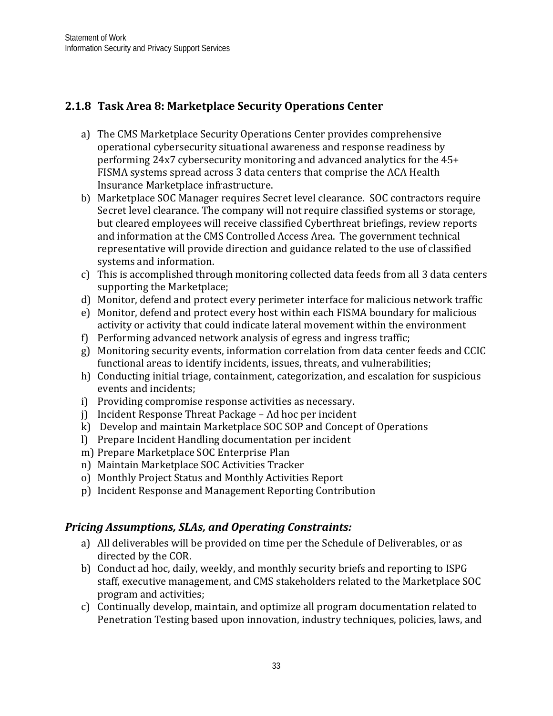# <span id="page-35-0"></span>**2.1.8 Task Area 8: Marketplace Security Operations Center**

- a) The CMS Marketplace Security Operations Center provides comprehensive operational cybersecurity situational awareness and response readiness by performing 24x7 cybersecurity monitoring and advanced analytics for the 45+ FISMA systems spread across 3 data centers that comprise the ACA Health Insurance Marketplace infrastructure.
- b) Marketplace SOC Manager requires Secret level clearance. SOC contractors require Secret level clearance. The company will not require classified systems or storage, but cleared employees will receive classified Cyberthreat briefings, review reports and information at the CMS Controlled Access Area. The government technical representative will provide direction and guidance related to the use of classified systems and information.
- c) This is accomplished through monitoring collected data feeds from all 3 data centers supporting the Marketplace;
- d) Monitor, defend and protect every perimeter interface for malicious network traffic
- e) Monitor, defend and protect every host within each FISMA boundary for malicious activity or activity that could indicate lateral movement within the environment
- f) Performing advanced network analysis of egress and ingress traffic;
- g) Monitoring security events, information correlation from data center feeds and CCIC functional areas to identify incidents, issues, threats, and vulnerabilities;
- h) Conducting initial triage, containment, categorization, and escalation for suspicious events and incidents;
- i) Providing compromise response activities as necessary.
- j) Incident Response Threat Package Ad hoc per incident
- k) Develop and maintain Marketplace SOC SOP and Concept of Operations
- l) Prepare Incident Handling documentation per incident
- m) Prepare Marketplace SOC Enterprise Plan
- n) Maintain Marketplace SOC Activities Tracker
- o) Monthly Project Status and Monthly Activities Report
- p) Incident Response and Management Reporting Contribution

#### *Pricing Assumptions, SLAs, and Operating Constraints:*

- a) All deliverables will be provided on time per the Schedule of Deliverables, or as directed by the COR.
- b) Conduct ad hoc, daily, weekly, and monthly security briefs and reporting to ISPG staff, executive management, and CMS stakeholders related to the Marketplace SOC program and activities;
- c) Continually develop, maintain, and optimize all program documentation related to Penetration Testing based upon innovation, industry techniques, policies, laws, and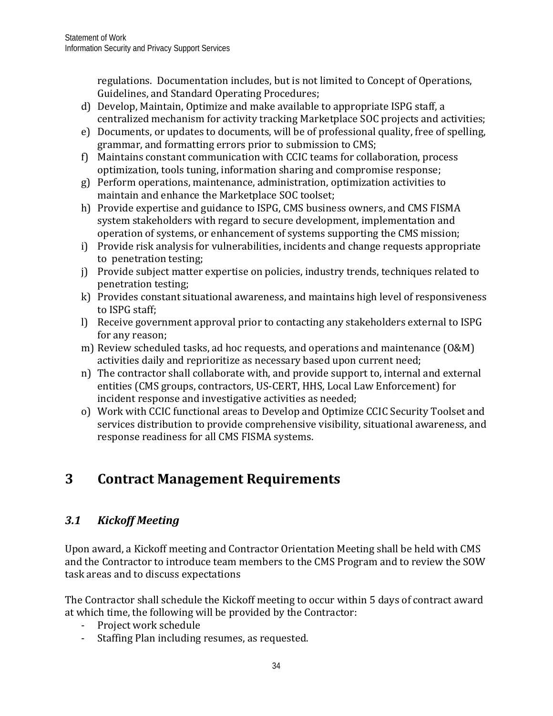regulations. Documentation includes, but is not limited to Concept of Operations, Guidelines, and Standard Operating Procedures;

- d) Develop, Maintain, Optimize and make available to appropriate ISPG staff, a centralized mechanism for activity tracking Marketplace SOC projects and activities;
- e) Documents, or updates to documents, will be of professional quality, free of spelling, grammar, and formatting errors prior to submission to CMS;
- f) Maintains constant communication with CCIC teams for collaboration, process optimization, tools tuning, information sharing and compromise response;
- g) Perform operations, maintenance, administration, optimization activities to maintain and enhance the Marketplace SOC toolset;
- h) Provide expertise and guidance to ISPG, CMS business owners, and CMS FISMA system stakeholders with regard to secure development, implementation and operation of systems, or enhancement of systems supporting the CMS mission;
- i) Provide risk analysis for vulnerabilities, incidents and change requests appropriate to penetration testing;
- i) Provide subject matter expertise on policies, industry trends, techniques related to penetration testing;
- k) Provides constant situational awareness, and maintains high level of responsiveness to ISPG staff;
- l) Receive government approval prior to contacting any stakeholders external to ISPG for any reason;
- m) Review scheduled tasks, ad hoc requests, and operations and maintenance (O&M) activities daily and reprioritize as necessary based upon current need;
- n) The contractor shall collaborate with, and provide support to, internal and external entities (CMS groups, contractors, US-CERT, HHS, Local Law Enforcement) for incident response and investigative activities as needed;
- o) Work with CCIC functional areas to Develop and Optimize CCIC Security Toolset and services distribution to provide comprehensive visibility, situational awareness, and response readiness for all CMS FISMA systems.

# <span id="page-36-0"></span>**3 Contract Management Requirements**

# <span id="page-36-1"></span>*3.1 Kickoff Meeting*

Upon award, a Kickoff meeting and Contractor Orientation Meeting shall be held with CMS and the Contractor to introduce team members to the CMS Program and to review the SOW task areas and to discuss expectations

The Contractor shall schedule the Kickoff meeting to occur within 5 days of contract award at which time, the following will be provided by the Contractor:

- Project work schedule
- Staffing Plan including resumes, as requested.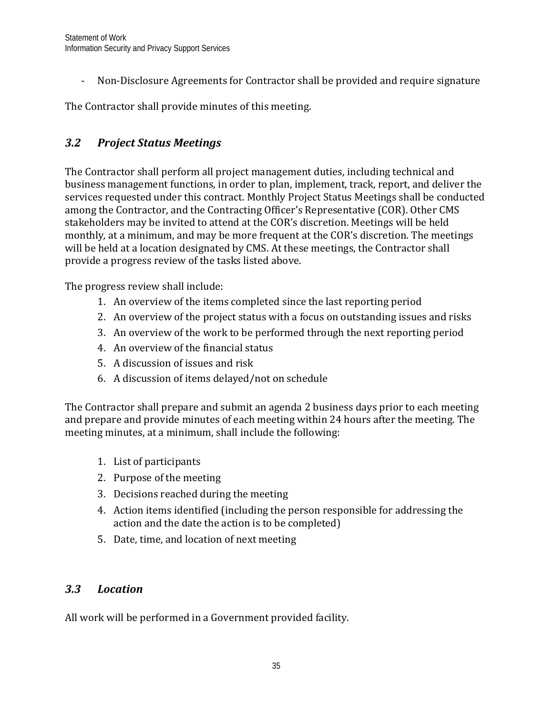- Non-Disclosure Agreements for Contractor shall be provided and require signature

The Contractor shall provide minutes of this meeting.

# <span id="page-37-0"></span>*3.2 Project Status Meetings*

The Contractor shall perform all project management duties, including technical and business management functions, in order to plan, implement, track, report, and deliver the services requested under this contract. Monthly Project Status Meetings shall be conducted among the Contractor, and the Contracting Officer's Representative (COR). Other CMS stakeholders may be invited to attend at the COR's discretion. Meetings will be held monthly*,* at a minimum, and may be more frequent at the COR's discretion. The meetings will be held at a location designated by CMS. At these meetings, the Contractor shall provide a progress review of the tasks listed above.

The progress review shall include:

- 1. An overview of the items completed since the last reporting period
- 2. An overview of the project status with a focus on outstanding issues and risks
- 3. An overview of the work to be performed through the next reporting period
- 4. An overview of the financial status
- 5. A discussion of issues and risk
- 6. A discussion of items delayed/not on schedule

The Contractor shall prepare and submit an agenda 2 business days prior to each meeting and prepare and provide minutes of each meeting within 24 hours after the meeting. The meeting minutes, at a minimum, shall include the following:

- 1. List of participants
- 2. Purpose of the meeting
- 3. Decisions reached during the meeting
- 4. Action items identified (including the person responsible for addressing the action and the date the action is to be completed)
- 5. Date, time, and location of next meeting

#### <span id="page-37-1"></span>*3.3 Location*

All work will be performed in a Government provided facility.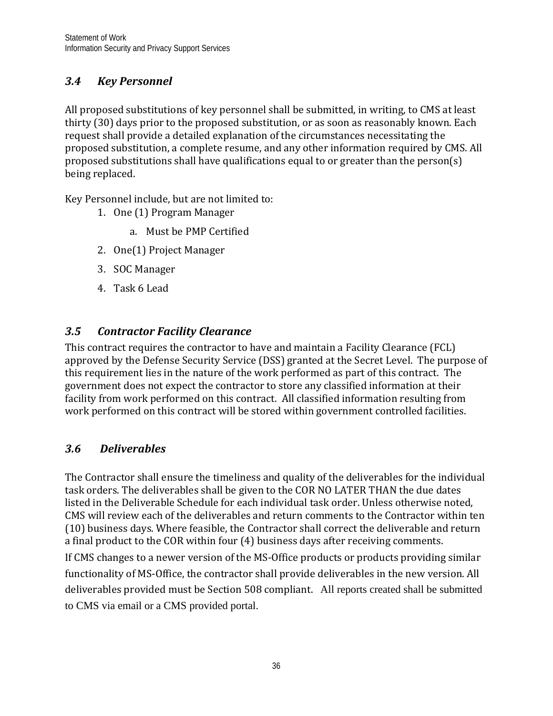# <span id="page-38-0"></span>*3.4 Key Personnel*

All proposed substitutions of key personnel shall be submitted, in writing, to CMS at least thirty (30) days prior to the proposed substitution, or as soon as reasonably known. Each request shall provide a detailed explanation of the circumstances necessitating the proposed substitution, a complete resume, and any other information required by CMS. All proposed substitutions shall have qualifications equal to or greater than the person(s) being replaced.

Key Personnel include, but are not limited to:

- 1. One (1) Program Manager
	- a. Must be PMP Certified
- 2. One(1) Project Manager
- 3. SOC Manager
- 4. Task 6 Lead

# <span id="page-38-1"></span>*3.5 Contractor Facility Clearance*

This contract requires the contractor to have and maintain a Facility Clearance (FCL) approved by the Defense Security Service (DSS) granted at the Secret Level. The purpose of this requirement lies in the nature of the work performed as part of this contract. The government does not expect the contractor to store any classified information at their facility from work performed on this contract. All classified information resulting from work performed on this contract will be stored within government controlled facilities.

# *3.6 Deliverables*

The Contractor shall ensure the timeliness and quality of the deliverables for the individual task orders. The deliverables shall be given to the COR NO LATER THAN the due dates listed in the Deliverable Schedule for each individual task order. Unless otherwise noted, CMS will review each of the deliverables and return comments to the Contractor within ten (10) business days. Where feasible, the Contractor shall correct the deliverable and return a final product to the COR within four (4) business days after receiving comments.

If CMS changes to a newer version of the MS-Office products or products providing similar functionality of MS-Office, the contractor shall provide deliverables in the new version. All deliverables provided must be Section 508 compliant. All reports created shall be submitted to CMS via email or a CMS provided portal.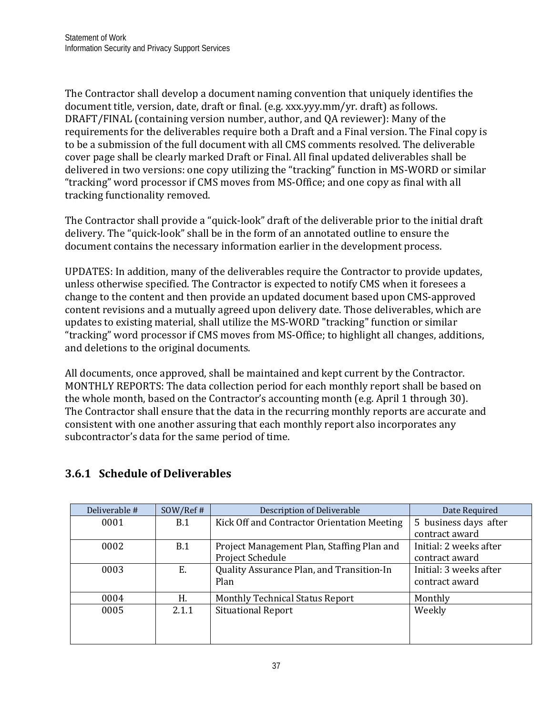The Contractor shall develop a document naming convention that uniquely identifies the document title, version, date, draft or final. (e.g. xxx.yyy.mm/yr. draft) as follows. DRAFT/FINAL (containing version number, author, and QA reviewer): Many of the requirements for the deliverables require both a Draft and a Final version. The Final copy is to be a submission of the full document with all CMS comments resolved. The deliverable cover page shall be clearly marked Draft or Final. All final updated deliverables shall be delivered in two versions: one copy utilizing the "tracking" function in MS-WORD or similar "tracking" word processor if CMS moves from MS-Office; and one copy as final with all tracking functionality removed.

The Contractor shall provide a "quick-look" draft of the deliverable prior to the initial draft delivery. The "quick-look" shall be in the form of an annotated outline to ensure the document contains the necessary information earlier in the development process.

UPDATES: In addition, many of the deliverables require the Contractor to provide updates, unless otherwise specified. The Contractor is expected to notify CMS when it foresees a change to the content and then provide an updated document based upon CMS-approved content revisions and a mutually agreed upon delivery date. Those deliverables, which are updates to existing material, shall utilize the MS-WORD "tracking" function or similar "tracking" word processor if CMS moves from MS-Office; to highlight all changes, additions, and deletions to the original documents.

All documents, once approved, shall be maintained and kept current by the Contractor. MONTHLY REPORTS: The data collection period for each monthly report shall be based on the whole month, based on the Contractor's accounting month (e.g. April 1 through 30). The Contractor shall ensure that the data in the recurring monthly reports are accurate and consistent with one another assuring that each monthly report also incorporates any subcontractor's data for the same period of time.

| Deliverable # | SOW/Ref# | <b>Description of Deliverable</b>                              | Date Required                            |
|---------------|----------|----------------------------------------------------------------|------------------------------------------|
| 0001          | B.1      | Kick Off and Contractor Orientation Meeting                    | 5 business days after<br>contract award  |
| 0002          | B.1      | Project Management Plan, Staffing Plan and<br>Project Schedule | Initial: 2 weeks after<br>contract award |
| 0003          | Ε.       | Quality Assurance Plan, and Transition-In<br>Plan              | Initial: 3 weeks after<br>contract award |
| 0004          | Н.       | <b>Monthly Technical Status Report</b>                         | Monthly                                  |
| 0005          | 2.1.1    | <b>Situational Report</b>                                      | Weekly                                   |

## <span id="page-39-0"></span>**3.6.1 Schedule of Deliverables**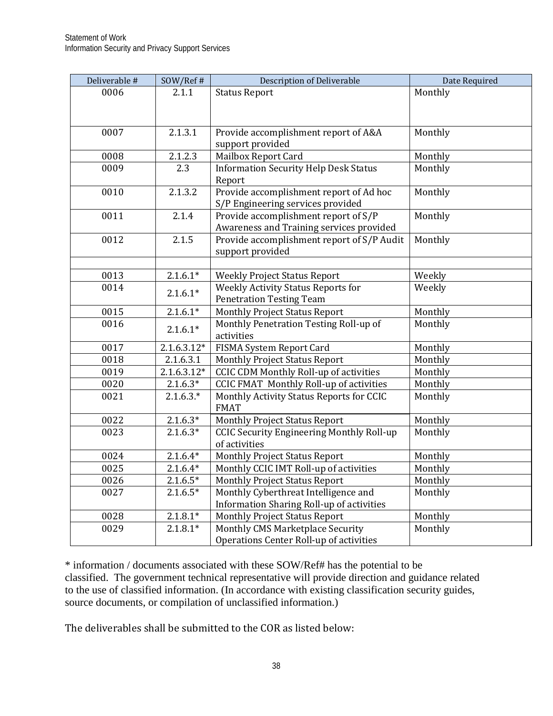| Deliverable # | SOW/Ref#      | <b>Description of Deliverable</b>                | Date Required |
|---------------|---------------|--------------------------------------------------|---------------|
| 0006          | 2.1.1         | <b>Status Report</b>                             | Monthly       |
|               |               |                                                  |               |
|               |               |                                                  |               |
| 0007          | 2.1.3.1       | Provide accomplishment report of A&A             | Monthly       |
|               |               | support provided                                 |               |
| 0008          | 2.1.2.3       | Mailbox Report Card                              | Monthly       |
| 0009          | 2.3           | <b>Information Security Help Desk Status</b>     | Monthly       |
|               |               | Report                                           |               |
| 0010          | 2.1.3.2       | Provide accomplishment report of Ad hoc          | Monthly       |
|               |               | S/P Engineering services provided                |               |
| 0011          | 2.1.4         | Provide accomplishment report of S/P             | Monthly       |
|               |               | Awareness and Training services provided         |               |
| 0012          | 2.1.5         | Provide accomplishment report of S/P Audit       | Monthly       |
|               |               | support provided                                 |               |
|               |               |                                                  |               |
| 0013          | $2.1.6.1*$    | <b>Weekly Project Status Report</b>              | Weekly        |
| 0014          | $2.1.6.1*$    | <b>Weekly Activity Status Reports for</b>        | Weekly        |
|               |               | <b>Penetration Testing Team</b>                  |               |
| 0015          | $2.1.6.1*$    | <b>Monthly Project Status Report</b>             | Monthly       |
| 0016          | $2.1.6.1*$    | Monthly Penetration Testing Roll-up of           | Monthly       |
|               |               | activities                                       |               |
| 0017          | $2.1.6.3.12*$ | FISMA System Report Card                         | Monthly       |
| 0018          | 2.1.6.3.1     | <b>Monthly Project Status Report</b>             | Monthly       |
| 0019          | $2.1.6.3.12*$ | <b>CCIC CDM Monthly Roll-up of activities</b>    | Monthly       |
| 0020          | $2.1.6.3*$    | <b>CCIC FMAT Monthly Roll-up of activities</b>   | Monthly       |
| 0021          | $2.1.6.3.*$   | Monthly Activity Status Reports for CCIC         | Monthly       |
|               |               | <b>FMAT</b>                                      |               |
| 0022          | $2.1.6.3*$    | <b>Monthly Project Status Report</b>             | Monthly       |
| 0023          | $2.1.6.3*$    | <b>CCIC Security Engineering Monthly Roll-up</b> | Monthly       |
|               |               | of activities                                    |               |
| 0024          | $2.1.6.4*$    | <b>Monthly Project Status Report</b>             | Monthly       |
| 0025          | $2.1.6.4*$    | Monthly CCIC IMT Roll-up of activities           | Monthly       |
| 0026          | $2.1.6.5*$    | <b>Monthly Project Status Report</b>             | Monthly       |
| 0027          | $2.1.6.5*$    | Monthly Cyberthreat Intelligence and             | Monthly       |
|               |               | <b>Information Sharing Roll-up of activities</b> |               |
| 0028          | $2.1.8.1*$    | <b>Monthly Project Status Report</b>             | Monthly       |
| 0029          | $2.1.8.1*$    | Monthly CMS Marketplace Security                 | Monthly       |
|               |               | Operations Center Roll-up of activities          |               |

\* information / documents associated with these SOW/Ref# has the potential to be classified. The government technical representative will provide direction and guidance related to the use of classified information. (In accordance with existing classification security guides, source documents, or compilation of unclassified information.)

The deliverables shall be submitted to the COR as listed below: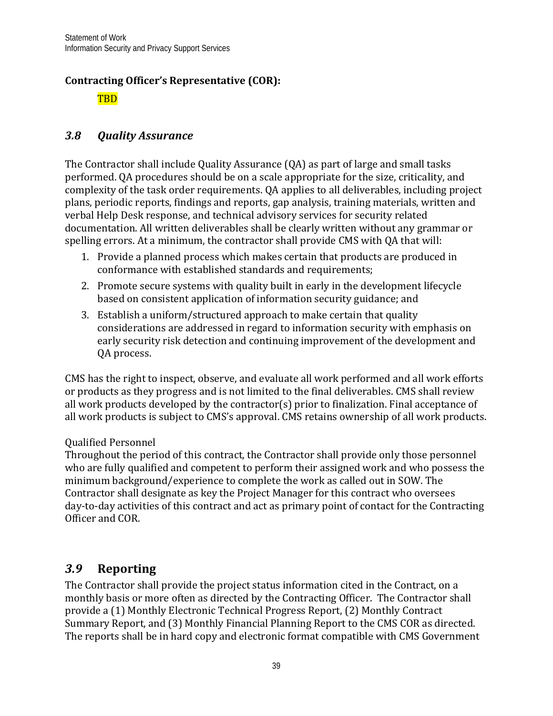## **Contracting Officer's Representative (COR):**

TBD

## <span id="page-41-0"></span>*3.8 Quality Assurance*

The Contractor shall include Quality Assurance (QA) as part of large and small tasks performed. QA procedures should be on a scale appropriate for the size, criticality, and complexity of the task order requirements. QA applies to all deliverables, including project plans, periodic reports, findings and reports, gap analysis, training materials, written and verbal Help Desk response, and technical advisory services for security related documentation. All written deliverables shall be clearly written without any grammar or spelling errors. At a minimum, the contractor shall provide CMS with QA that will:

- 1. Provide a planned process which makes certain that products are produced in conformance with established standards and requirements;
- 2. Promote secure systems with quality built in early in the development lifecycle based on consistent application of information security guidance; and
- 3. Establish a uniform/structured approach to make certain that quality considerations are addressed in regard to information security with emphasis on early security risk detection and continuing improvement of the development and QA process.

CMS has the right to inspect, observe, and evaluate all work performed and all work efforts or products as they progress and is not limited to the final deliverables. CMS shall review all work products developed by the contractor(s) prior to finalization. Final acceptance of all work products is subject to CMS's approval. CMS retains ownership of all work products.

#### Qualified Personnel

Throughout the period of this contract, the Contractor shall provide only those personnel who are fully qualified and competent to perform their assigned work and who possess the minimum background/experience to complete the work as called out in SOW. The Contractor shall designate as key the Project Manager for this contract who oversees day-to-day activities of this contract and act as primary point of contact for the Contracting Officer and COR.

# <span id="page-41-1"></span>*3.9* **Reporting**

The Contractor shall provide the project status information cited in the Contract, on a monthly basis or more often as directed by the Contracting Officer. The Contractor shall provide a (1) Monthly Electronic Technical Progress Report, (2) Monthly Contract Summary Report, and (3) Monthly Financial Planning Report to the CMS COR as directed. The reports shall be in hard copy and electronic format compatible with CMS Government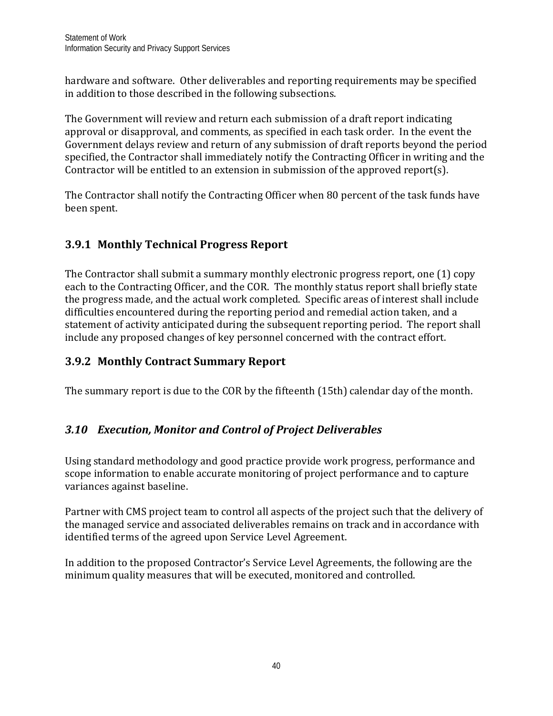hardware and software. Other deliverables and reporting requirements may be specified in addition to those described in the following subsections.

The Government will review and return each submission of a draft report indicating approval or disapproval, and comments, as specified in each task order. In the event the Government delays review and return of any submission of draft reports beyond the period specified, the Contractor shall immediately notify the Contracting Officer in writing and the Contractor will be entitled to an extension in submission of the approved report(s).

The Contractor shall notify the Contracting Officer when 80 percent of the task funds have been spent.

# **3.9.1 Monthly Technical Progress Report**

The Contractor shall submit a summary monthly electronic progress report, one (1) copy each to the Contracting Officer, and the COR. The monthly status report shall briefly state the progress made, and the actual work completed. Specific areas of interest shall include difficulties encountered during the reporting period and remedial action taken, and a statement of activity anticipated during the subsequent reporting period. The report shall include any proposed changes of key personnel concerned with the contract effort.

# <span id="page-42-0"></span>**3.9.2 Monthly Contract Summary Report**

The summary report is due to the COR by the fifteenth (15th) calendar day of the month.

# <span id="page-42-1"></span>*3.10 Execution, Monitor and Control of Project Deliverables*

Using standard methodology and good practice provide work progress, performance and scope information to enable accurate monitoring of project performance and to capture variances against baseline.

Partner with CMS project team to control all aspects of the project such that the delivery of the managed service and associated deliverables remains on track and in accordance with identified terms of the agreed upon Service Level Agreement.

In addition to the proposed Contractor's Service Level Agreements, the following are the minimum quality measures that will be executed, monitored and controlled.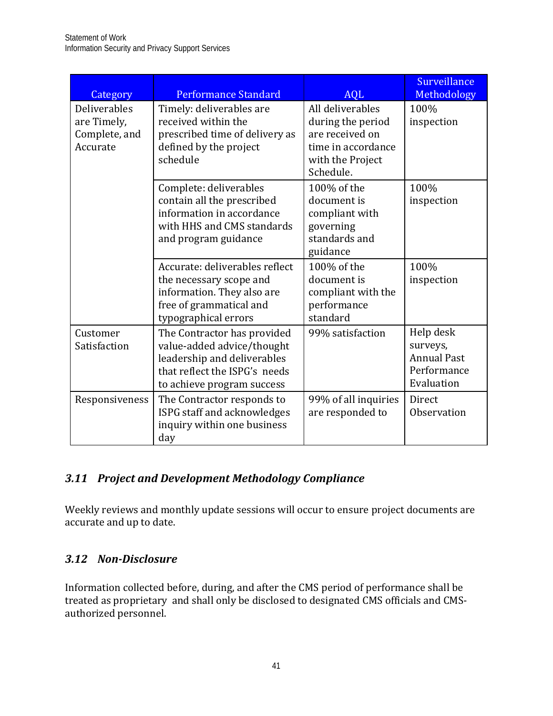| Category                                                        | <b>Performance Standard</b>                                                                                                                             | <b>AQL</b>                                                                                                      | Surveillance<br>Methodology                                              |
|-----------------------------------------------------------------|---------------------------------------------------------------------------------------------------------------------------------------------------------|-----------------------------------------------------------------------------------------------------------------|--------------------------------------------------------------------------|
| <b>Deliverables</b><br>are Timely,<br>Complete, and<br>Accurate | Timely: deliverables are<br>received within the<br>prescribed time of delivery as<br>defined by the project<br>schedule                                 | All deliverables<br>during the period<br>are received on<br>time in accordance<br>with the Project<br>Schedule. | 100%<br>inspection                                                       |
|                                                                 | Complete: deliverables<br>contain all the prescribed<br>information in accordance<br>with HHS and CMS standards<br>and program guidance                 | 100% of the<br>document is<br>compliant with<br>governing<br>standards and<br>guidance                          | 100%<br>inspection                                                       |
|                                                                 | Accurate: deliverables reflect<br>the necessary scope and<br>information. They also are<br>free of grammatical and<br>typographical errors              | 100% of the<br>document is<br>compliant with the<br>performance<br>standard                                     | 100%<br>inspection                                                       |
| Customer<br>Satisfaction                                        | The Contractor has provided<br>value-added advice/thought<br>leadership and deliverables<br>that reflect the ISPG's needs<br>to achieve program success | 99% satisfaction                                                                                                | Help desk<br>surveys,<br><b>Annual Past</b><br>Performance<br>Evaluation |
| Responsiveness                                                  | The Contractor responds to<br>ISPG staff and acknowledges<br>inquiry within one business<br>day                                                         | 99% of all inquiries<br>are responded to                                                                        | Direct<br>Observation                                                    |

# <span id="page-43-0"></span>*3.11 Project and Development Methodology Compliance*

Weekly reviews and monthly update sessions will occur to ensure project documents are accurate and up to date.

# <span id="page-43-1"></span>*3.12 Non-Disclosure*

Information collected before, during, and after the CMS period of performance shall be treated as proprietary and shall only be disclosed to designated CMS officials and CMSauthorized personnel.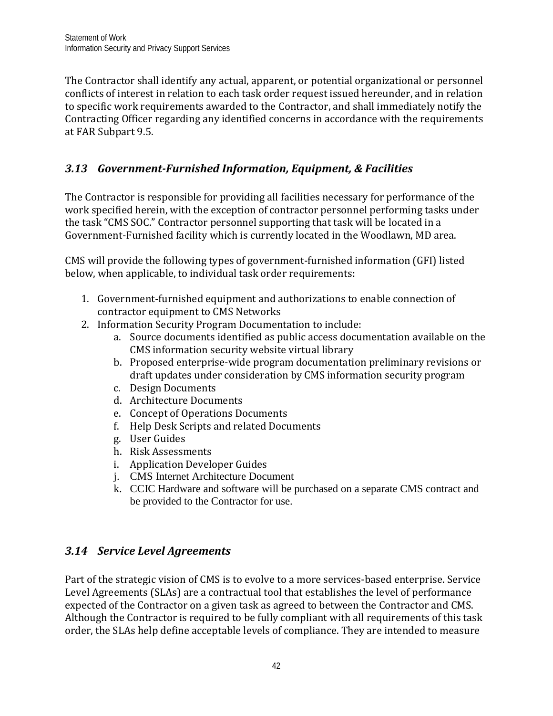The Contractor shall identify any actual, apparent, or potential organizational or personnel conflicts of interest in relation to each task order request issued hereunder, and in relation to specific work requirements awarded to the Contractor, and shall immediately notify the Contracting Officer regarding any identified concerns in accordance with the requirements at FAR Subpart 9.5.

# <span id="page-44-0"></span>*3.13 Government-Furnished Information, Equipment, & Facilities*

The Contractor is responsible for providing all facilities necessary for performance of the work specified herein, with the exception of contractor personnel performing tasks under the task "CMS SOC." Contractor personnel supporting that task will be located in a Government-Furnished facility which is currently located in the Woodlawn, MD area.

CMS will provide the following types of government-furnished information (GFI) listed below, when applicable, to individual task order requirements:

- 1. Government-furnished equipment and authorizations to enable connection of contractor equipment to CMS Networks
- 2. Information Security Program Documentation to include:
	- a. Source documents identified as public access documentation available on the CMS information security website virtual library
	- b. Proposed enterprise-wide program documentation preliminary revisions or draft updates under consideration by CMS information security program
	- c. Design Documents
	- d. Architecture Documents
	- e. Concept of Operations Documents
	- f. Help Desk Scripts and related Documents
	- g. User Guides
	- h. Risk Assessments
	- i. Application Developer Guides
	- j. CMS Internet Architecture Document
	- k. CCIC Hardware and software will be purchased on a separate CMS contract and be provided to the Contractor for use.

## <span id="page-44-1"></span>*3.14 Service Level Agreements*

Part of the strategic vision of CMS is to evolve to a more services-based enterprise. Service Level Agreements (SLAs) are a contractual tool that establishes the level of performance expected of the Contractor on a given task as agreed to between the Contractor and CMS. Although the Contractor is required to be fully compliant with all requirements of this task order, the SLAs help define acceptable levels of compliance. They are intended to measure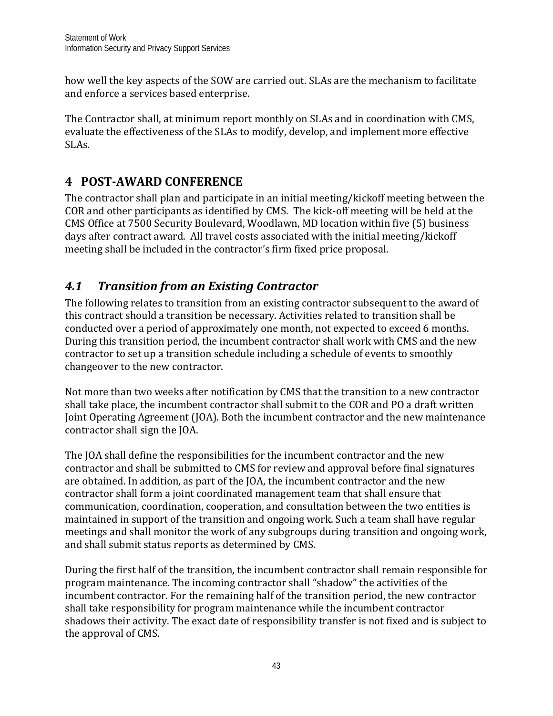how well the key aspects of the SOW are carried out. SLAs are the mechanism to facilitate and enforce a services based enterprise.

The Contractor shall, at minimum report monthly on SLAs and in coordination with CMS, evaluate the effectiveness of the SLAs to modify, develop, and implement more effective SLAs.

# <span id="page-45-0"></span>**4 POST-AWARD CONFERENCE**

The contractor shall plan and participate in an initial meeting/kickoff meeting between the COR and other participants as identified by CMS. The kick-off meeting will be held at the CMS Office at 7500 Security Boulevard, Woodlawn, MD location within five (5) business days after contract award. All travel costs associated with the initial meeting/kickoff meeting shall be included in the contractor's firm fixed price proposal.

# <span id="page-45-1"></span>*4.1 Transition from an Existing Contractor*

The following relates to transition from an existing contractor subsequent to the award of this contract should a transition be necessary. Activities related to transition shall be conducted over a period of approximately one month, not expected to exceed 6 months. During this transition period, the incumbent contractor shall work with CMS and the new contractor to set up a transition schedule including a schedule of events to smoothly changeover to the new contractor.

Not more than two weeks after notification by CMS that the transition to a new contractor shall take place, the incumbent contractor shall submit to the COR and PO a draft written Joint Operating Agreement (JOA). Both the incumbent contractor and the new maintenance contractor shall sign the JOA.

The JOA shall define the responsibilities for the incumbent contractor and the new contractor and shall be submitted to CMS for review and approval before final signatures are obtained. In addition, as part of the JOA, the incumbent contractor and the new contractor shall form a joint coordinated management team that shall ensure that communication, coordination, cooperation, and consultation between the two entities is maintained in support of the transition and ongoing work. Such a team shall have regular meetings and shall monitor the work of any subgroups during transition and ongoing work, and shall submit status reports as determined by CMS.

During the first half of the transition, the incumbent contractor shall remain responsible for program maintenance. The incoming contractor shall "shadow" the activities of the incumbent contractor. For the remaining half of the transition period, the new contractor shall take responsibility for program maintenance while the incumbent contractor shadows their activity. The exact date of responsibility transfer is not fixed and is subject to the approval of CMS.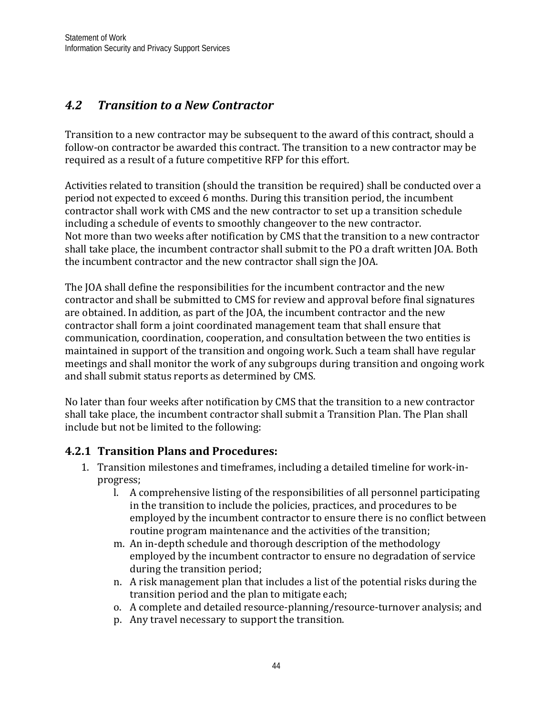# <span id="page-46-0"></span>*4.2 Transition to a New Contractor*

Transition to a new contractor may be subsequent to the award of this contract, should a follow-on contractor be awarded this contract. The transition to a new contractor may be required as a result of a future competitive RFP for this effort.

Activities related to transition (should the transition be required) shall be conducted over a period not expected to exceed 6 months. During this transition period, the incumbent contractor shall work with CMS and the new contractor to set up a transition schedule including a schedule of events to smoothly changeover to the new contractor. Not more than two weeks after notification by CMS that the transition to a new contractor shall take place, the incumbent contractor shall submit to the PO a draft written JOA. Both the incumbent contractor and the new contractor shall sign the JOA.

The JOA shall define the responsibilities for the incumbent contractor and the new contractor and shall be submitted to CMS for review and approval before final signatures are obtained. In addition, as part of the JOA, the incumbent contractor and the new contractor shall form a joint coordinated management team that shall ensure that communication, coordination, cooperation, and consultation between the two entities is maintained in support of the transition and ongoing work. Such a team shall have regular meetings and shall monitor the work of any subgroups during transition and ongoing work and shall submit status reports as determined by CMS.

No later than four weeks after notification by CMS that the transition to a new contractor shall take place, the incumbent contractor shall submit a Transition Plan. The Plan shall include but not be limited to the following:

## <span id="page-46-1"></span>**4.2.1 Transition Plans and Procedures:**

- 1. Transition milestones and timeframes, including a detailed timeline for work-inprogress;
	- l. A comprehensive listing of the responsibilities of all personnel participating in the transition to include the policies, practices, and procedures to be employed by the incumbent contractor to ensure there is no conflict between routine program maintenance and the activities of the transition;
	- m. An in-depth schedule and thorough description of the methodology employed by the incumbent contractor to ensure no degradation of service during the transition period;
	- n. A risk management plan that includes a list of the potential risks during the transition period and the plan to mitigate each;
	- o. A complete and detailed resource-planning/resource-turnover analysis; and
	- p. Any travel necessary to support the transition.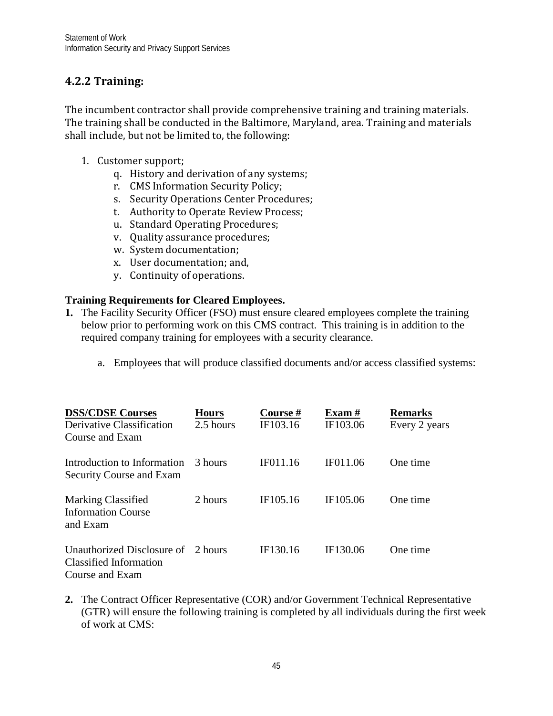## <span id="page-47-0"></span>**4.2.2 Training:**

The incumbent contractor shall provide comprehensive training and training materials. The training shall be conducted in the Baltimore, Maryland, area. Training and materials shall include, but not be limited to, the following:

- 1. Customer support;
	- q. History and derivation of any systems;
	- r. CMS Information Security Policy;
	- s. Security Operations Center Procedures;
	- t. Authority to Operate Review Process;
	- u. Standard Operating Procedures;
	- v. Quality assurance procedures;
	- w. System documentation;
	- x. User documentation; and,
	- y. Continuity of operations.

#### **Training Requirements for Cleared Employees.**

- **1.** The Facility Security Officer (FSO) must ensure cleared employees complete the training below prior to performing work on this CMS contract. This training is in addition to the required company training for employees with a security clearance.
	- a. Employees that will produce classified documents and/or access classified systems:

| <b>DSS/CDSE Courses</b><br>Derivative Classification<br>Course and Exam         | <b>Hours</b><br>2.5 hours | Course #<br>IF103.16 | Exam $#$<br>IF103.06 | <b>Remarks</b><br>Every 2 years |
|---------------------------------------------------------------------------------|---------------------------|----------------------|----------------------|---------------------------------|
| Introduction to Information<br>Security Course and Exam                         | 3 hours                   | IF011.16             | IF011.06             | One time                        |
| <b>Marking Classified</b><br><b>Information Course</b><br>and Exam              | 2 hours                   | IF105.16             | IF105.06             | One time                        |
| Unauthorized Disclosure of 2 hours<br>Classified Information<br>Course and Exam |                           | IF130.16             | IF130.06             | One time                        |

**2.** The Contract Officer Representative (COR) and/or Government Technical Representative (GTR) will ensure the following training is completed by all individuals during the first week of work at CMS: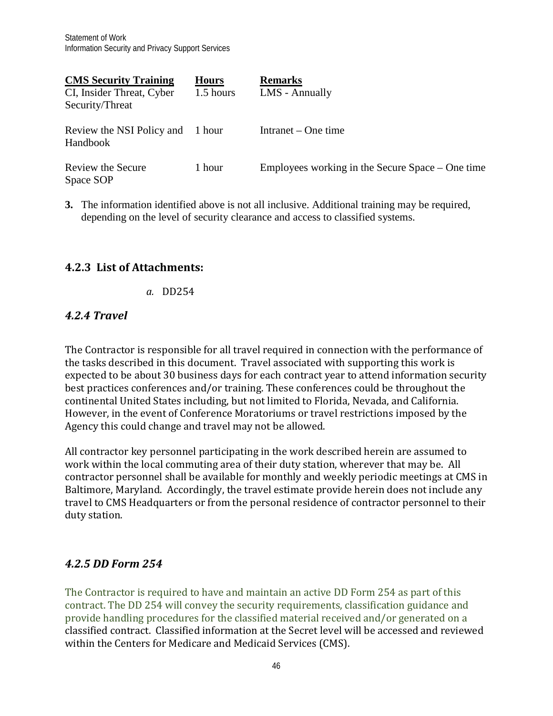| <b>CMS</b> Security Training<br>CI, Insider Threat, Cyber<br>Security/Threat | <b>Hours</b><br>1.5 hours | <b>Remarks</b><br>LMS - Annually                   |
|------------------------------------------------------------------------------|---------------------------|----------------------------------------------------|
| Review the NSI Policy and<br>Handbook                                        | 1 hour                    | Intranet $-$ One time                              |
| Review the Secure<br>Space SOP                                               | 1 hour                    | Employees working in the Secure Space $-$ One time |

**3.** The information identified above is not all inclusive. Additional training may be required, depending on the level of security clearance and access to classified systems.

## <span id="page-48-1"></span><span id="page-48-0"></span>**4.2.3 List of Attachments:**

*a.* DD254

## <span id="page-48-2"></span>*4.2.4 Travel*

The Contractor is responsible for all travel required in connection with the performance of the tasks described in this document. Travel associated with supporting this work is expected to be about 30 business days for each contract year to attend information security best practices conferences and/or training. These conferences could be throughout the continental United States including, but not limited to Florida, Nevada, and California. However, in the event of Conference Moratoriums or travel restrictions imposed by the Agency this could change and travel may not be allowed.

All contractor key personnel participating in the work described herein are assumed to work within the local commuting area of their duty station, wherever that may be. All contractor personnel shall be available for monthly and weekly periodic meetings at CMS in Baltimore, Maryland. Accordingly, the travel estimate provide herein does not include any travel to CMS Headquarters or from the personal residence of contractor personnel to their duty station.

## <span id="page-48-3"></span>*4.2.5 DD Form 254*

The Contractor is required to have and maintain an active DD Form 254 as part of this contract. The DD 254 will convey the security requirements, classification guidance and provide handling procedures for the classified material received and/or generated on a classified contract. Classified information at the Secret level will be accessed and reviewed within the Centers for Medicare and Medicaid Services (CMS).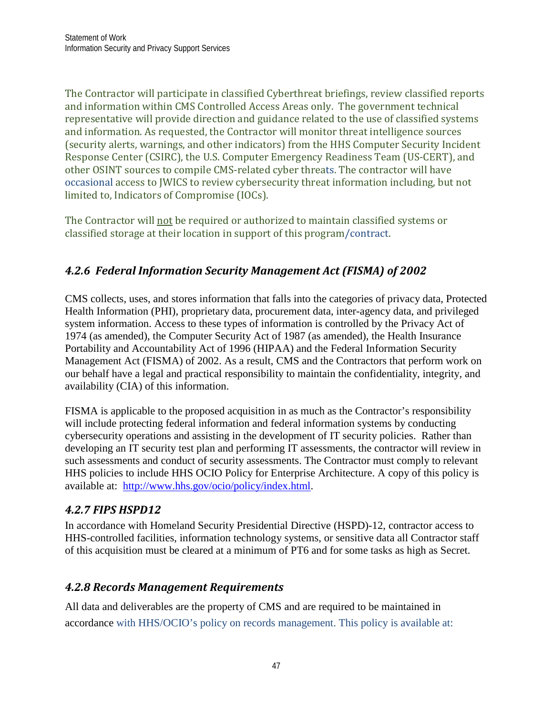The Contractor will participate in classified Cyberthreat briefings, review classified reports and information within CMS Controlled Access Areas only. The government technical representative will provide direction and guidance related to the use of classified systems and information. As requested, the Contractor will monitor threat intelligence sources (security alerts, warnings, and other indicators) from the HHS Computer Security Incident Response Center (CSIRC), the U.S. Computer Emergency Readiness Team (US-CERT), and other OSINT sources to compile CMS-related cyber threats. The contractor will have occasional access to JWICS to review cybersecurity threat information including, but not limited to, Indicators of Compromise (IOCs).

The Contractor will not be required or authorized to maintain classified systems or classified storage at their location in support of this program/contract.

# *4.2.6 Federal Information Security Management Act (FISMA) of 2002*

CMS collects, uses, and stores information that falls into the categories of privacy data, Protected Health Information (PHI), proprietary data, procurement data, inter-agency data, and privileged system information. Access to these types of information is controlled by the Privacy Act of 1974 (as amended), the Computer Security Act of 1987 (as amended), the Health Insurance Portability and Accountability Act of 1996 (HIPAA) and the Federal Information Security Management Act (FISMA) of 2002. As a result, CMS and the Contractors that perform work on our behalf have a legal and practical responsibility to maintain the confidentiality, integrity, and availability (CIA) of this information.

FISMA is applicable to the proposed acquisition in as much as the Contractor's responsibility will include protecting federal information and federal information systems by conducting cybersecurity operations and assisting in the development of IT security policies. Rather than developing an IT security test plan and performing IT assessments, the contractor will review in such assessments and conduct of security assessments. The Contractor must comply to relevant HHS policies to include HHS OCIO Policy for Enterprise Architecture. A copy of this policy is available at: [http://www.hhs.gov/ocio/policy/index.html.](http://www.hhs.gov/ocio/policy/index.html)

## *4.2.7 FIPS HSPD12*

In accordance with Homeland Security Presidential Directive (HSPD)-12, contractor access to HHS-controlled facilities, information technology systems, or sensitive data all Contractor staff of this acquisition must be cleared at a minimum of PT6 and for some tasks as high as Secret.

## *4.2.8 Records Management Requirements*

All data and deliverables are the property of CMS and are required to be maintained in accordance with HHS/OCIO's policy on records management. This policy is available at: